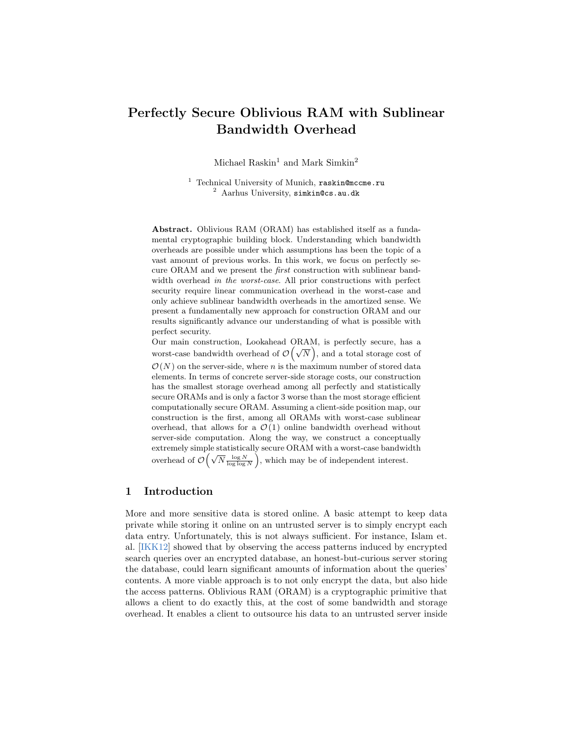# Perfectly Secure Oblivious RAM with Sublinear Bandwidth Overhead

Michael Raskin<sup>1</sup> and Mark Simkin<sup>2</sup>

<sup>1</sup> Technical University of Munich, raskin@mccme.ru <sup>2</sup> Aarhus University, simkin@cs.au.dk

Abstract. Oblivious RAM (ORAM) has established itself as a fundamental cryptographic building block. Understanding which bandwidth overheads are possible under which assumptions has been the topic of a vast amount of previous works. In this work, we focus on perfectly secure ORAM and we present the first construction with sublinear bandwidth overhead in the worst-case. All prior constructions with perfect security require linear communication overhead in the worst-case and only achieve sublinear bandwidth overheads in the amortized sense. We present a fundamentally new approach for construction ORAM and our results significantly advance our understanding of what is possible with perfect security.

Our main construction, Lookahead ORAM, is perfectly secure, has a Four main construction, bookdied of  $\mathcal{O}(\sqrt{N})$ , and a total storage cost of  $\mathcal{O}(N)$  on the server-side, where n is the maximum number of stored data elements. In terms of concrete server-side storage costs, our construction has the smallest storage overhead among all perfectly and statistically secure ORAMs and is only a factor 3 worse than the most storage efficient computationally secure ORAM. Assuming a client-side position map, our construction is the first, among all ORAMs with worst-case sublinear overhead, that allows for a  $\mathcal{O}(1)$  online bandwidth overhead without server-side computation. Along the way, we construct a conceptually extremely simple statistically secure ORAM with a worst-case bandwidth  $\frac{1}{\text{cscar}(\text{Cov})}$  such statistically secure OTETM with a worst-case bandwide.

### 1 Introduction

More and more sensitive data is stored online. A basic attempt to keep data private while storing it online on an untrusted server is to simply encrypt each data entry. Unfortunately, this is not always sufficient. For instance, Islam et. al. [\[IKK12\]](#page-24-0) showed that by observing the access patterns induced by encrypted search queries over an encrypted database, an honest-but-curious server storing the database, could learn significant amounts of information about the queries' contents. A more viable approach is to not only encrypt the data, but also hide the access patterns. Oblivious RAM (ORAM) is a cryptographic primitive that allows a client to do exactly this, at the cost of some bandwidth and storage overhead. It enables a client to outsource his data to an untrusted server inside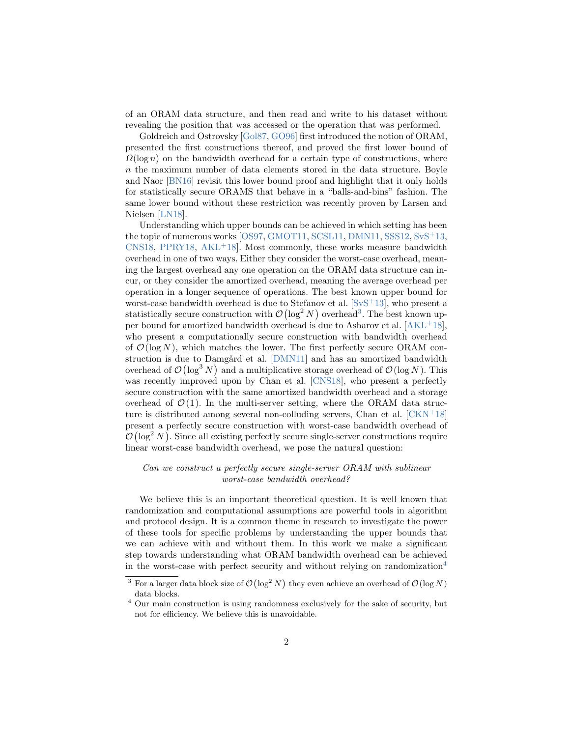of an ORAM data structure, and then read and write to his dataset without revealing the position that was accessed or the operation that was performed.

Goldreich and Ostrovsky [\[Gol87,](#page-24-1) [GO96\]](#page-24-2) first introduced the notion of ORAM, presented the first constructions thereof, and proved the first lower bound of  $\Omega(\log n)$  on the bandwidth overhead for a certain type of constructions, where  $n$  the maximum number of data elements stored in the data structure. Boyle and Naor [\[BN16\]](#page-23-0) revisit this lower bound proof and highlight that it only holds for statistically secure ORAMS that behave in a "balls-and-bins" fashion. The same lower bound without these restriction was recently proven by Larsen and Nielsen [\[LN18\]](#page-24-3).

Understanding which upper bounds can be achieved in which setting has been the topic of numerous works [\[OS97,](#page-24-4) [GMOT11,](#page-24-5) [SCSL11,](#page-24-6) [DMN11,](#page-23-1) [SSS12,](#page-24-7) [SvS](#page-24-8)+13,  $CNS18, PPRY18, AKL<sup>+</sup>18$  $CNS18, PPRY18, AKL<sup>+</sup>18$  $CNS18, PPRY18, AKL<sup>+</sup>18$  $CNS18, PPRY18, AKL<sup>+</sup>18$  $CNS18, PPRY18, AKL<sup>+</sup>18$  $CNS18, PPRY18, AKL<sup>+</sup>18$ . Most commonly, these works measure bandwidth overhead in one of two ways. Either they consider the worst-case overhead, meaning the largest overhead any one operation on the ORAM data structure can incur, or they consider the amortized overhead, meaning the average overhead per operation in a longer sequence of operations. The best known upper bound for worst-case bandwidth overhead is due to Stefanov et al.  $[S_vS^+13]$ , who present a statistically secure construction with  $\mathcal{O}(\log^2 N)$  overhead<sup>[3](#page-1-0)</sup>. The best known upper bound for amortized bandwidth overhead is due to Asharov et al.  $[AKL+18]$  $[AKL+18]$ , who present a computationally secure construction with bandwidth overhead of  $\mathcal{O}(\log N)$ , which matches the lower. The first perfectly secure ORAM con-struction is due to Damgård et al. [\[DMN11\]](#page-23-1) and has an amortized bandwidth overhead of  $\mathcal{O}(\log^3 N)$  and a multiplicative storage overhead of  $\mathcal{O}(\log N)$ . This was recently improved upon by Chan et al. [\[CNS18\]](#page-23-2), who present a perfectly secure construction with the same amortized bandwidth overhead and a storage overhead of  $\mathcal{O}(1)$ . In the multi-server setting, where the ORAM data structure is distributed among several non-colluding servers, Chan et al.  $[CKN+18]$  $[CKN+18]$ present a perfectly secure construction with worst-case bandwidth overhead of  $\mathcal{O}(\log^2 N)$ . Since all existing perfectly secure single-server constructions require linear worst-case bandwidth overhead, we pose the natural question:

### Can we construct a perfectly secure single-server ORAM with sublinear worst-case bandwidth overhead?

We believe this is an important theoretical question. It is well known that randomization and computational assumptions are powerful tools in algorithm and protocol design. It is a common theme in research to investigate the power of these tools for specific problems by understanding the upper bounds that we can achieve with and without them. In this work we make a significant step towards understanding what ORAM bandwidth overhead can be achieved in the worst-case with perfect security and without relying on randomization<sup>[4](#page-1-1)</sup>

<span id="page-1-0"></span><sup>&</sup>lt;sup>3</sup> For a larger data block size of  $\mathcal{O}(\log^2 N)$  they even achieve an overhead of  $\mathcal{O}(\log N)$ data blocks.

<span id="page-1-1"></span><sup>4</sup> Our main construction is using randomness exclusively for the sake of security, but not for efficiency. We believe this is unavoidable.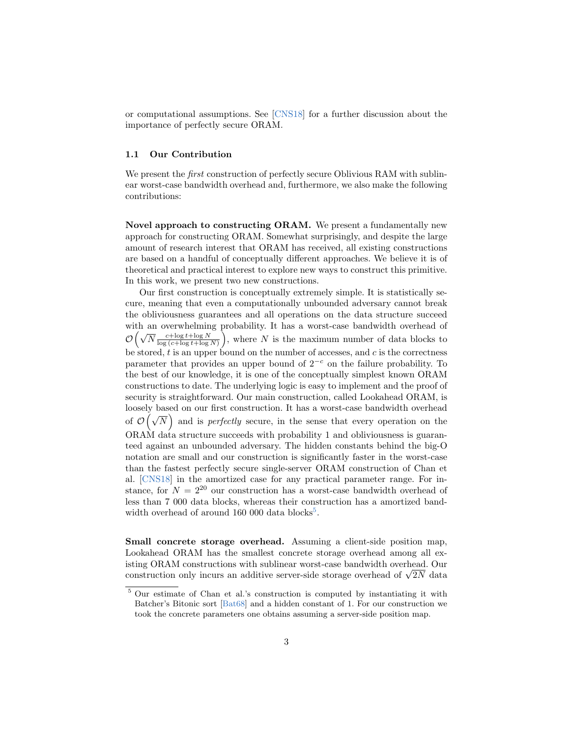or computational assumptions. See [\[CNS18\]](#page-23-2) for a further discussion about the importance of perfectly secure ORAM.

#### 1.1 Our Contribution

We present the *first* construction of perfectly secure Oblivious RAM with sublinear worst-case bandwidth overhead and, furthermore, we also make the following contributions:

Novel approach to constructing ORAM. We present a fundamentally new approach for constructing ORAM. Somewhat surprisingly, and despite the large amount of research interest that ORAM has received, all existing constructions are based on a handful of conceptually different approaches. We believe it is of theoretical and practical interest to explore new ways to construct this primitive. In this work, we present two new constructions.

Our first construction is conceptually extremely simple. It is statistically secure, meaning that even a computationally unbounded adversary cannot break the obliviousness guarantees and all operations on the data structure succeed with an overwhelming probability. It has a worst-case bandwidth overhead of  $\mathcal{O}\left(\sqrt{N}\frac{c+\log t+\log N}{\log (c+\log t+\log N)}\right)$ , where N is the maximum number of data blocks to be stored, t is an upper bound on the number of accesses, and c is the correctness parameter that provides an upper bound of  $2^{-c}$  on the failure probability. To the best of our knowledge, it is one of the conceptually simplest known ORAM constructions to date. The underlying logic is easy to implement and the proof of security is straightforward. Our main construction, called Lookahead ORAM, is loosely based on our first construction. It has a worst-case bandwidth overhead following based on our mst construction. It has a worst-case bandwidth overhead  $ORAM$  data structure succeeds with probability 1 and obliviousness is guaranteed against an unbounded adversary. The hidden constants behind the big-O notation are small and our construction is significantly faster in the worst-case than the fastest perfectly secure single-server ORAM construction of Chan et al. [\[CNS18\]](#page-23-2) in the amortized case for any practical parameter range. For instance, for  $N = 2^{20}$  our construction has a worst-case bandwidth overhead of less than 7 000 data blocks, whereas their construction has a amortized bandwidth overhead of around  $160000$  data blocks<sup>[5](#page-2-0)</sup>.

Small concrete storage overhead. Assuming a client-side position map, Lookahead ORAM has the smallest concrete storage overhead among all existing ORAM constructions with sublinear worst-case bandwidth overhead. Our isting ORAM constructions with subiliear worst-case bandwidth overhead. Our construction only incurs an additive server-side storage overhead of  $\sqrt{2N}$  data

<span id="page-2-0"></span><sup>5</sup> Our estimate of Chan et al.'s construction is computed by instantiating it with Batcher's Bitonic sort [\[Bat68\]](#page-23-5) and a hidden constant of 1. For our construction we took the concrete parameters one obtains assuming a server-side position map.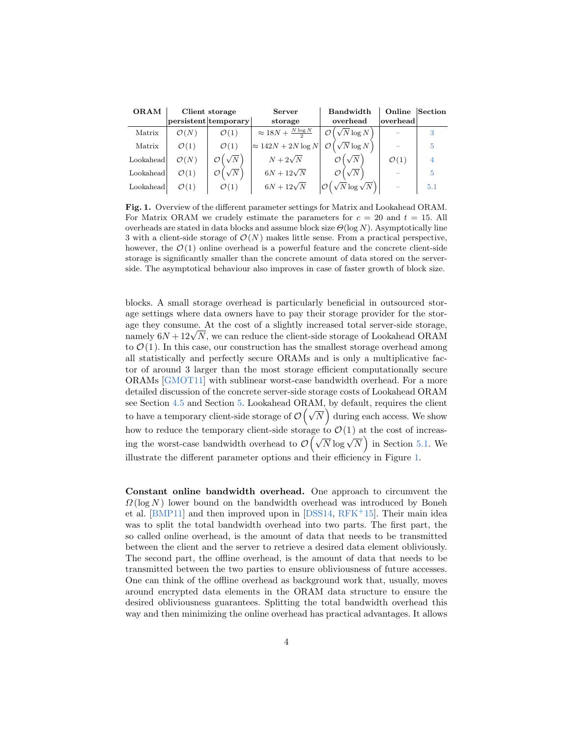| <b>ORAM</b> |                  | Client storage       | <b>Server</b>                      | <b>Bandwidth</b>         | Online           | Section |
|-------------|------------------|----------------------|------------------------------------|--------------------------|------------------|---------|
|             |                  | persistent temporary | storage                            | overhead                 | overhead         |         |
| Matrix      | $\mathcal{O}(N)$ | $\mathcal{O}(1)$     | $\approx 18N + \frac{N \log N}{2}$ | $\sqrt{N} \log N$        |                  |         |
| Matrix      | $\mathcal{O}(1)$ | $\mathcal{O}(1)$     | $\approx 142N + 2N \log N$         | $\sqrt{N} \log N$        |                  |         |
| Lookahead   | $\mathcal{O}(N)$ | $\sqrt{N}$           | $N+2\sqrt{N}$                      | $\sqrt{N}$               | $\mathcal{O}(1)$ |         |
| Lookahead   | $\mathcal{O}(1)$ | $\sqrt{N}$           | $6N+12\sqrt{N}$                    | $\mathcal{O}(\sqrt{N})$  |                  |         |
| Lookahead   | $\mathcal{O}(1)$ | $\mathcal{O}(1)$     | $6N+12\sqrt{N}$                    | $\sqrt{N} \log \sqrt{N}$ |                  | 5.1     |

<span id="page-3-0"></span>Fig. 1. Overview of the different parameter settings for Matrix and Lookahead ORAM. For Matrix ORAM we crudely estimate the parameters for  $c = 20$  and  $t = 15$ . All overheads are stated in data blocks and assume block size  $\Theta(\log N)$ . Asymptotically line 3 with a client-side storage of  $\mathcal{O}(N)$  makes little sense. From a practical perspective, however, the  $\mathcal{O}(1)$  online overhead is a powerful feature and the concrete client-side storage is significantly smaller than the concrete amount of data stored on the serverside. The asymptotical behaviour also improves in case of faster growth of block size.

blocks. A small storage overhead is particularly beneficial in outsourced storage settings where data owners have to pay their storage provider for the storage they consume. At the cost of a slightly increased total server-side storage, age they consume. At the cost of a slightly increased total server-side storage,<br>namely  $6N + 12\sqrt{N}$ , we can reduce the client-side storage of Lookahead ORAM to  $\mathcal{O}(1)$ . In this case, our construction has the smallest storage overhead among all statistically and perfectly secure ORAMs and is only a multiplicative factor of around 3 larger than the most storage efficient computationally secure ORAMs [\[GMOT11\]](#page-24-5) with sublinear worst-case bandwidth overhead. For a more detailed discussion of the concrete server-side storage costs of Lookahead ORAM see Section [4.5](#page-18-1) and Section [5.](#page-18-0) Lookahead ORAM, by default, requires the client to have a temporary client-side storage of  $\mathcal{O}(\sqrt{N})$  during each access. We show how to reduce the temporary client-side storage to  $\mathcal{O}(1)$  at the cost of increasing the worst-case bandwidth overhead to  $\mathcal{O}(\sqrt{N}\log\sqrt{N})$  in Section [5.1.](#page-19-0) We illustrate the different parameter options and their efficiency in Figure [1.](#page-3-0)

Constant online bandwidth overhead. One approach to circumvent the  $\Omega(\log N)$  lower bound on the bandwidth overhead was introduced by Boneh et al. [\[BMP11\]](#page-23-6) and then improved upon in [\[DSS14,](#page-24-10) [RFK](#page-24-11)<sup>+</sup>15]. Their main idea was to split the total bandwidth overhead into two parts. The first part, the so called online overhead, is the amount of data that needs to be transmitted between the client and the server to retrieve a desired data element obliviously. The second part, the offline overhead, is the amount of data that needs to be transmitted between the two parties to ensure obliviousness of future accesses. One can think of the offline overhead as background work that, usually, moves around encrypted data elements in the ORAM data structure to ensure the desired obliviousness guarantees. Splitting the total bandwidth overhead this way and then minimizing the online overhead has practical advantages. It allows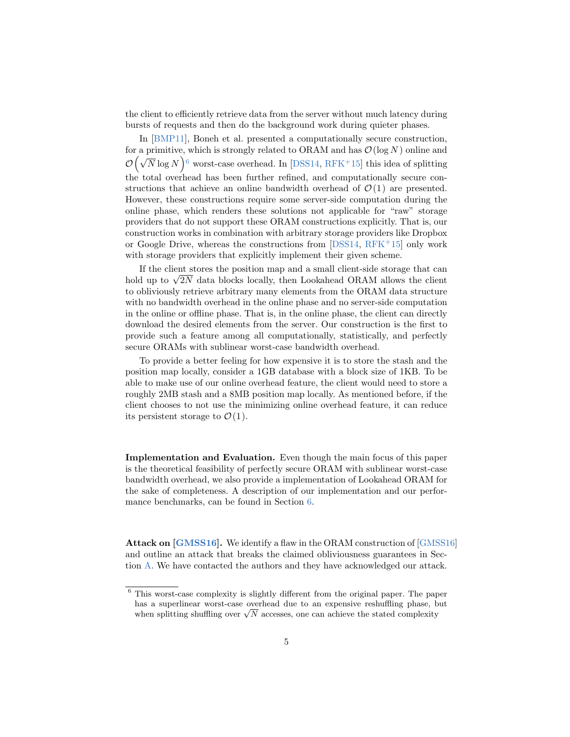the client to efficiently retrieve data from the server without much latency during bursts of requests and then do the background work during quieter phases.

In [\[BMP11\]](#page-23-6), Boneh et al. presented a computationally secure construction, for a primitive, which is strongly related to ORAM and has  $\mathcal{O}(\log N)$  online and  $\mathcal{O}(\sqrt{N} \log N)^6$  $\mathcal{O}(\sqrt{N} \log N)^6$  worst-case overhead. In [\[DSS14,](#page-24-10) [RFK](#page-24-11)+15] this idea of splitting the total overhead has been further refined, and computationally secure constructions that achieve an online bandwidth overhead of  $\mathcal{O}(1)$  are presented. However, these constructions require some server-side computation during the online phase, which renders these solutions not applicable for "raw" storage providers that do not support these ORAM constructions explicitly. That is, our construction works in combination with arbitrary storage providers like Dropbox or Google Drive, whereas the constructions from [\[DSS14,](#page-24-10) [RFK](#page-24-11)+15] only work with storage providers that explicitly implement their given scheme.

If the client stores the position map and a small client-side storage that can If the client stores the position map and a small client-side storage that can<br>hold up to  $\sqrt{2N}$  data blocks locally, then Lookahead ORAM allows the client to obliviously retrieve arbitrary many elements from the ORAM data structure with no bandwidth overhead in the online phase and no server-side computation in the online or offline phase. That is, in the online phase, the client can directly download the desired elements from the server. Our construction is the first to provide such a feature among all computationally, statistically, and perfectly secure ORAMs with sublinear worst-case bandwidth overhead.

To provide a better feeling for how expensive it is to store the stash and the position map locally, consider a 1GB database with a block size of 1KB. To be able to make use of our online overhead feature, the client would need to store a roughly 2MB stash and a 8MB position map locally. As mentioned before, if the client chooses to not use the minimizing online overhead feature, it can reduce its persistent storage to  $\mathcal{O}(1)$ .

Implementation and Evaluation. Even though the main focus of this paper is the theoretical feasibility of perfectly secure ORAM with sublinear worst-case bandwidth overhead, we also provide a implementation of Lookahead ORAM for the sake of completeness. A description of our implementation and our performance benchmarks, can be found in Section [6.](#page-21-0)

Attack on [\[GMSS16\]](#page-24-12). We identify a flaw in the ORAM construction of [\[GMSS16\]](#page-24-12) and outline an attack that breaks the claimed obliviousness guarantees in Section [A.](#page-24-13) We have contacted the authors and they have acknowledged our attack.

<span id="page-4-0"></span><sup>6</sup> This worst-case complexity is slightly different from the original paper. The paper has a superlinear worst-case overhead due to an expensive reshuffling phase, but has a superimear worst-case overhead due to an expensive reshuming phase, b when splitting shuffling over  $\sqrt{N}$  accesses, one can achieve the stated complexity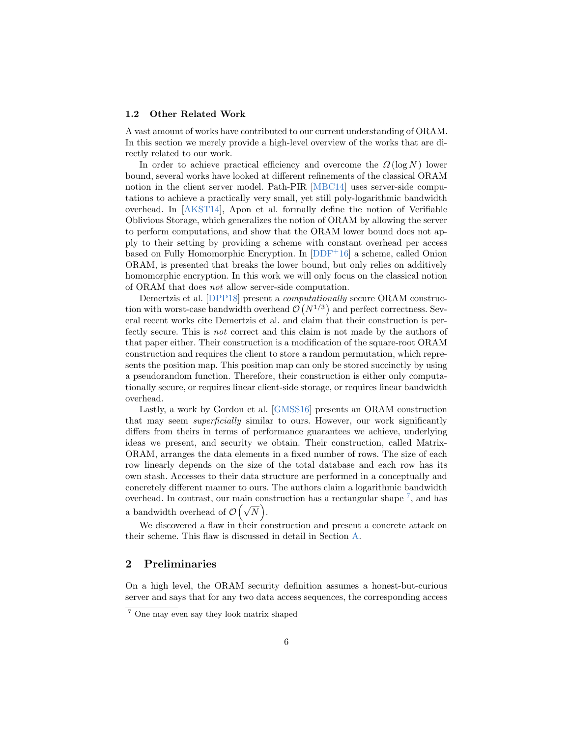#### 1.2 Other Related Work

A vast amount of works have contributed to our current understanding of ORAM. In this section we merely provide a high-level overview of the works that are directly related to our work.

In order to achieve practical efficiency and overcome the  $\Omega(\log N)$  lower bound, several works have looked at different refinements of the classical ORAM notion in the client server model. Path-PIR [\[MBC14\]](#page-24-14) uses server-side computations to achieve a practically very small, yet still poly-logarithmic bandwidth overhead. In [\[AKST14\]](#page-23-7), Apon et al. formally define the notion of Verifiable Oblivious Storage, which generalizes the notion of ORAM by allowing the server to perform computations, and show that the ORAM lower bound does not apply to their setting by providing a scheme with constant overhead per access based on Fully Homomorphic Encryption. In  $[DDF<sup>+</sup>16]$  $[DDF<sup>+</sup>16]$  a scheme, called Onion ORAM, is presented that breaks the lower bound, but only relies on additively homomorphic encryption. In this work we will only focus on the classical notion of ORAM that does not allow server-side computation.

Demertzis et al. [\[DPP18\]](#page-24-15) present a computationally secure ORAM construction with worst-case bandwidth overhead  $\mathcal{O}(N^{1/3})$  and perfect correctness. Several recent works cite Demertzis et al. and claim that their construction is perfectly secure. This is not correct and this claim is not made by the authors of that paper either. Their construction is a modification of the square-root ORAM construction and requires the client to store a random permutation, which represents the position map. This position map can only be stored succinctly by using a pseudorandom function. Therefore, their construction is either only computationally secure, or requires linear client-side storage, or requires linear bandwidth overhead.

Lastly, a work by Gordon et al. [\[GMSS16\]](#page-24-12) presents an ORAM construction that may seem superficially similar to ours. However, our work significantly differs from theirs in terms of performance guarantees we achieve, underlying ideas we present, and security we obtain. Their construction, called Matrix-ORAM, arranges the data elements in a fixed number of rows. The size of each row linearly depends on the size of the total database and each row has its own stash. Accesses to their data structure are performed in a conceptually and concretely different manner to ours. The authors claim a logarithmic bandwidth overhead. In contrast, our main construction has a rectangular shape [7](#page-5-0) , and has a bandwidth overhead of  $\mathcal{O}(\sqrt{N})$ .

We discovered a flaw in their construction and present a concrete attack on their scheme. This flaw is discussed in detail in Section [A.](#page-24-13)

### 2 Preliminaries

On a high level, the ORAM security definition assumes a honest-but-curious server and says that for any two data access sequences, the corresponding access

<span id="page-5-0"></span><sup>7</sup> One may even say they look matrix shaped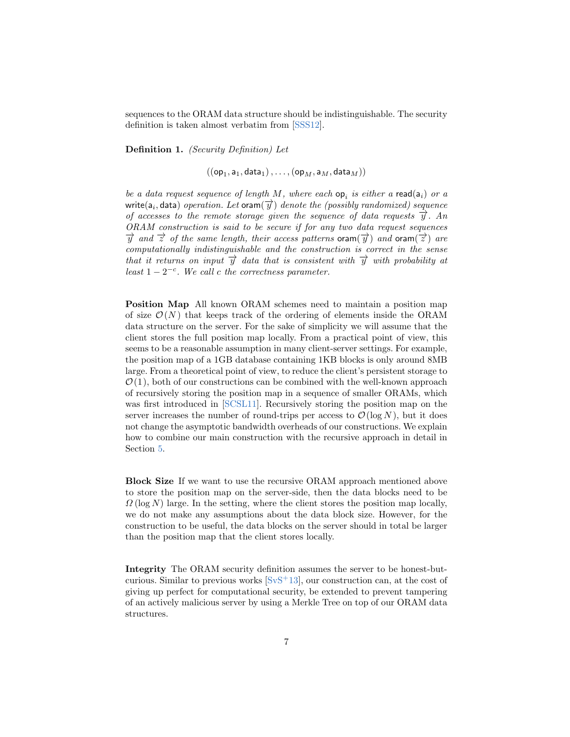sequences to the ORAM data structure should be indistinguishable. The security definition is taken almost verbatim from [\[SSS12\]](#page-24-7).

Definition 1. (Security Definition) Let

 $((\mathsf{op}_1, \mathsf{a}_1, \mathsf{data}_1), \dots,(\mathsf{op}_M, \mathsf{a}_M, \mathsf{data}_M))$ 

be a data request sequence of length  $M$ , where each  $op_i$  is either a read( $a_i$ ) or a write( $a_i$ , data) operation. Let  $\text{orem}(\overrightarrow{y})$  denote the (possibly randomized) sequence of accesses to the remote storage given the sequence of data requests  $\vec{y}$ . An ORAM construction is said to be secure if for any two data request sequences  $\overrightarrow{y}$  and  $\overrightarrow{z}$  of the same length, their access patterns oram( $\overrightarrow{y}$ ) and oram( $\overrightarrow{z}$ ) are computationally indistinguishable and the construction is correct in the sense that it returns on input  $\overrightarrow{y}$  data that is consistent with  $\overrightarrow{y}$  with probability at least  $1 - 2^{-c}$ . We call c the correctness parameter.

Position Map All known ORAM schemes need to maintain a position map of size  $\mathcal{O}(N)$  that keeps track of the ordering of elements inside the ORAM data structure on the server. For the sake of simplicity we will assume that the client stores the full position map locally. From a practical point of view, this seems to be a reasonable assumption in many client-server settings. For example, the position map of a 1GB database containing 1KB blocks is only around 8MB large. From a theoretical point of view, to reduce the client's persistent storage to  $\mathcal{O}(1)$ , both of our constructions can be combined with the well-known approach of recursively storing the position map in a sequence of smaller ORAMs, which was first introduced in [\[SCSL11\]](#page-24-6). Recursively storing the position map on the server increases the number of round-trips per access to  $\mathcal{O}(\log N)$ , but it does not change the asymptotic bandwidth overheads of our constructions. We explain how to combine our main construction with the recursive approach in detail in Section [5.](#page-18-0)

Block Size If we want to use the recursive ORAM approach mentioned above to store the position map on the server-side, then the data blocks need to be  $\Omega$  (log N) large. In the setting, where the client stores the position map locally, we do not make any assumptions about the data block size. However, for the construction to be useful, the data blocks on the server should in total be larger than the position map that the client stores locally.

Integrity The ORAM security definition assumes the server to be honest-butcurious. Similar to previous works  $[SvS+13]$  $[SvS+13]$ , our construction can, at the cost of giving up perfect for computational security, be extended to prevent tampering of an actively malicious server by using a Merkle Tree on top of our ORAM data structures.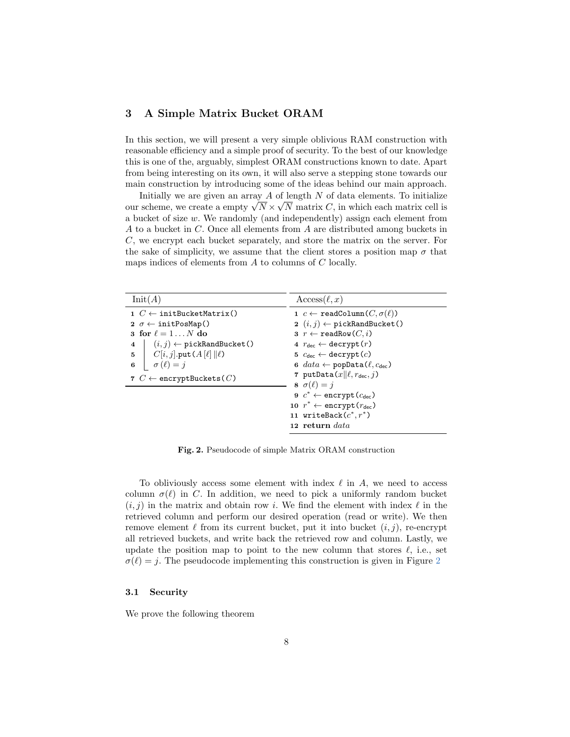## <span id="page-7-0"></span>3 A Simple Matrix Bucket ORAM

In this section, we will present a very simple oblivious RAM construction with reasonable efficiency and a simple proof of security. To the best of our knowledge this is one of the, arguably, simplest ORAM constructions known to date. Apart from being interesting on its own, it will also serve a stepping stone towards our main construction by introducing some of the ideas behind our main approach.

Initially we are given an array  $\overline{A}$  of length  $N$  of data elements. To initialize Initially we are given an array A of length N of data elements. To initialize<br>our scheme, we create a empty  $\sqrt{N} \times \sqrt{N}$  matrix C, in which each matrix cell is a bucket of size w. We randomly (and independently) assign each element from A to a bucket in C. Once all elements from A are distributed among buckets in C, we encrypt each bucket separately, and store the matrix on the server. For the sake of simplicity, we assume that the client stores a position map  $\sigma$  that maps indices of elements from  $A$  to columns of  $C$  locally.

<span id="page-7-1"></span>Fig. 2. Pseudocode of simple Matrix ORAM construction

To obliviously access some element with index  $\ell$  in A, we need to access column  $\sigma(\ell)$  in C. In addition, we need to pick a uniformly random bucket  $(i, j)$  in the matrix and obtain row i. We find the element with index  $\ell$  in the retrieved column and perform our desired operation (read or write). We then remove element  $\ell$  from its current bucket, put it into bucket  $(i, j)$ , re-encrypt all retrieved buckets, and write back the retrieved row and column. Lastly, we update the position map to point to the new column that stores  $\ell$ , i.e., set  $\sigma(\ell) = j$ . The pseudocode implementing this construction is given in Figure [2](#page-7-1)

#### 3.1 Security

We prove the following theorem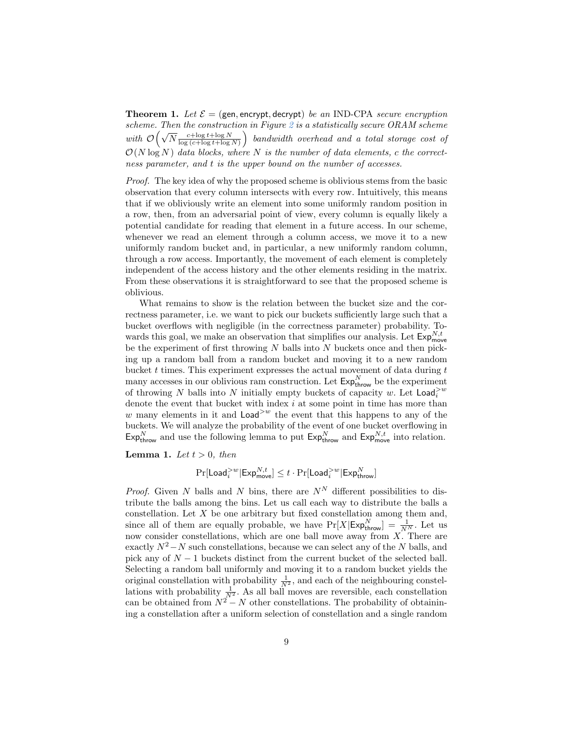**Theorem 1.** Let  $\mathcal{E} = (\text{gen}, \text{encrypt}, \text{decrypt})$  be an IND-CPA secure encryption scheme. Then the construction in Figure [2](#page-7-1) is a statistically secure ORAM scheme with  $\mathcal{O}(\sqrt{N}\frac{c+\log t+\log N}{\log(c+\log t+\log N)})$  bandwidth overhead and a total storage cost of  $\mathcal{O}(N \log N)$  data blocks, where N is the number of data elements, c the correctness parameter, and t is the upper bound on the number of accesses.

Proof. The key idea of why the proposed scheme is oblivious stems from the basic observation that every column intersects with every row. Intuitively, this means that if we obliviously write an element into some uniformly random position in a row, then, from an adversarial point of view, every column is equally likely a potential candidate for reading that element in a future access. In our scheme, whenever we read an element through a column access, we move it to a new uniformly random bucket and, in particular, a new uniformly random column, through a row access. Importantly, the movement of each element is completely independent of the access history and the other elements residing in the matrix. From these observations it is straightforward to see that the proposed scheme is oblivious.

What remains to show is the relation between the bucket size and the correctness parameter, i.e. we want to pick our buckets sufficiently large such that a bucket overflows with negligible (in the correctness parameter) probability. Towards this goal, we make an observation that simplifies our analysis. Let  $\mathsf{Exp}_{\mathsf{move}}^{N,t}$ be the experiment of first throwing  $N$  balls into  $N$  buckets once and then picking up a random ball from a random bucket and moving it to a new random bucket  $t$  times. This experiment expresses the actual movement of data during  $t$ many accesses in our oblivious ram construction. Let  $\mathsf{Exp}_{\mathsf{throw}}^N$  be the experiment of throwing N balls into N initially empty buckets of capacity w. Let  $\textsf{Load}_i^{>w}$ denote the event that bucket with index  $i$  at some point in time has more than w many elements in it and  $\text{Load}^{>w}$  the event that this happens to any of the buckets. We will analyze the probability of the event of one bucket overflowing in  $\mathsf{Exp}_{\mathsf{throw}}^N$  and use the following lemma to put  $\mathsf{Exp}_{\mathsf{throw}}^N$  and  $\mathsf{Exp}_{\mathsf{move}}^{N,t}$  into relation.

<span id="page-8-0"></span>**Lemma 1.** Let  $t > 0$ , then

$$
\Pr[\mathsf{Load}_i^{>w}|\mathsf{Exp}_{\mathsf{move}}^{N,t}] \leq t \cdot \Pr[\mathsf{Load}_i^{>w}|\mathsf{Exp}_{\mathsf{throw}}^{N}]
$$

*Proof.* Given N balls and N bins, there are  $N^N$  different possibilities to distribute the balls among the bins. Let us call each way to distribute the balls a constellation. Let  $X$  be one arbitrary but fixed constellation among them and, since all of them are equally probable, we have  $Pr[X|\mathsf{Exp}_{\mathsf{throw}}^N] = \frac{1}{N^N}$ . Let us now consider constellations, which are one ball move away from  $X$ . There are exactly  $N^2 - N$  such constellations, because we can select any of the N balls, and pick any of  $N-1$  buckets distinct from the current bucket of the selected ball. Selecting a random ball uniformly and moving it to a random bucket yields the original constellation with probability  $\frac{1}{N^2}$ , and each of the neighbouring constellations with probability  $\frac{1}{N^2}$ . As all ball moves are reversible, each constellation can be obtained from  $N^2 - N$  other constellations. The probability of obtainining a constellation after a uniform selection of constellation and a single random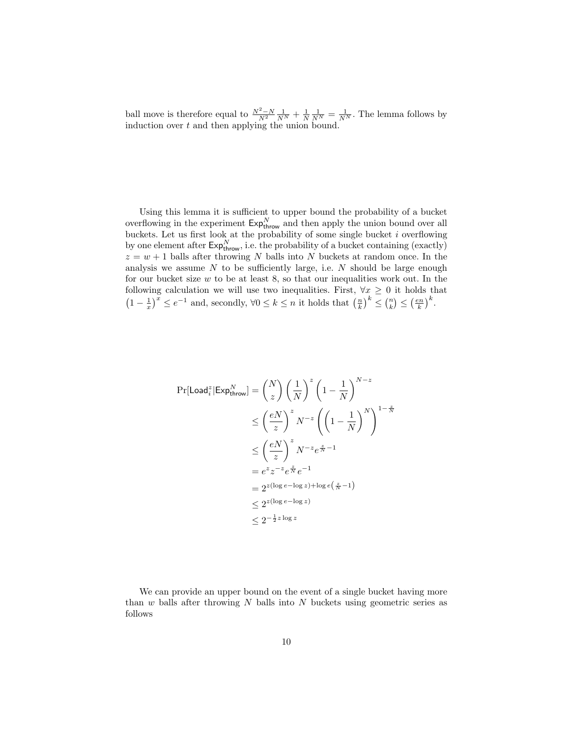ball move is therefore equal to  $\frac{N^2 - N}{N^2} \frac{1}{N^N} + \frac{1}{N} \frac{1}{N^N} = \frac{1}{N^N}$ . The lemma follows by induction over t and then applying the union bound.

Using this lemma it is sufficient to upper bound the probability of a bucket overflowing in the experiment  $\mathsf{Exp}_{\mathsf{throw}}^N$  and then apply the union bound over all buckets. Let us first look at the probability of some single bucket i overflowing by one element after  $\mathsf{Exp}_{\mathsf{throw}}^N$ , i.e. the probability of a bucket containing  $(\text{exactly})$  $z = w + 1$  balls after throwing N balls into N buckets at random once. In the analysis we assume  $N$  to be sufficiently large, i.e.  $N$  should be large enough for our bucket size  $w$  to be at least 8, so that our inequalities work out. In the following calculation we will use two inequalities. First,  $\forall x \geq 0$  it holds that  $\left(1-\frac{1}{x}\right)^x \leq e^{-1}$  and, secondly,  $\forall 0 \leq k \leq n$  it holds that  $\left(\frac{n}{k}\right)^k \leq {n \choose k} \leq \left(\frac{en}{k}\right)^k$ .

$$
\Pr[\text{Load}_i^z | \text{Exp}_{\text{throw}}^N] = {N \choose z} \left(\frac{1}{N}\right)^z \left(1 - \frac{1}{N}\right)^{N-z}
$$
  

$$
\leq \left(\frac{eN}{z}\right)^z N^{-z} \left(\left(1 - \frac{1}{N}\right)^N\right)^{1 - \frac{z}{N}}
$$
  

$$
\leq \left(\frac{eN}{z}\right)^z N^{-z} e^{\frac{z}{N} - 1}
$$
  

$$
= e^z z^{-z} e^{\frac{z}{N}} e^{-1}
$$
  

$$
= 2^{z(\log e - \log z) + \log e\left(\frac{z}{N} - 1\right)}
$$
  

$$
\leq 2^{z(\log e - \log z)}
$$
  

$$
\leq 2^{-\frac{1}{2}z \log z}
$$

We can provide an upper bound on the event of a single bucket having more than  $w$  balls after throwing  $N$  balls into  $N$  buckets using geometric series as follows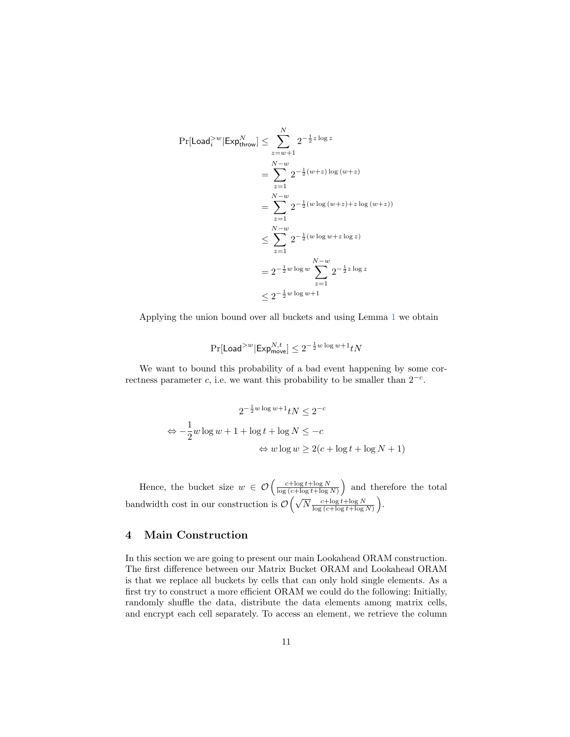$$
\Pr[\text{Load}_i^{>w} | \text{Exp}_{\text{throw}}^N] \le \sum_{z=w+1}^N 2^{-\frac{1}{2}z \log z} \\
= \sum_{z=1}^{N-w} 2^{-\frac{1}{2}(w+z) \log(w+z)} \\
= \sum_{z=1}^{N-w} 2^{-\frac{1}{2}(w \log(w+z) + z \log(w+z))} \\
\le \sum_{z=1}^{N-w} 2^{-\frac{1}{2}(w \log w + z \log z)} \\
= 2^{-\frac{1}{2}w \log w} \sum_{z=1}^{N-w} 2^{-\frac{1}{2}z \log z} \\
\le 2^{-\frac{1}{2}w \log w + 1}
$$

Applying the union bound over all buckets and using Lemma [1](#page-8-0) we obtain

$$
\Pr[\textsf{Load}^{>w} | \textsf{Exp}^{N,t}_{\text{move}}] \le 2^{-\frac{1}{2}w \log w + 1} tN
$$

We want to bound this probability of a bad event happening by some correctness parameter c, i.e. we want this probability to be smaller than  $2^{-c}$ .

$$
2^{-\frac{1}{2}w \log w + 1}tN \le 2^{-c}
$$
  
\n
$$
\Leftrightarrow -\frac{1}{2}w \log w + 1 + \log t + \log N \le -c
$$
  
\n
$$
\Leftrightarrow w \log w \ge 2(c + \log t + \log N + 1)
$$

Hence, the bucket size  $w \in \mathcal{O}\left(\frac{c + \log t + \log N}{\log (c + \log t + \log N)}\right)$  and therefore the total bandwidth cost in our construction is  $\mathcal{O}\left(\sqrt{N} \frac{c + \log t + \log N}{\log(c + \log t + \log N)}\right)$ .

## <span id="page-10-0"></span>4 Main Construction

In this section we are going to present our main Lookahead ORAM construction. The first difference between our Matrix Bucket ORAM and Lookahead ORAM is that we replace all buckets by cells that can only hold single elements. As a first try to construct a more efficient ORAM we could do the following: Initially, randomly shuffle the data, distribute the data elements among matrix cells, and encrypt each cell separately. To access an element, we retrieve the column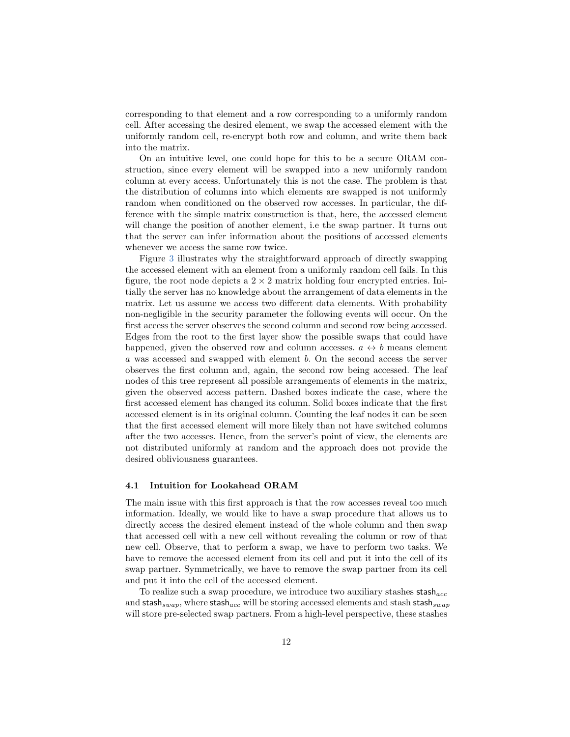corresponding to that element and a row corresponding to a uniformly random cell. After accessing the desired element, we swap the accessed element with the uniformly random cell, re-encrypt both row and column, and write them back into the matrix.

On an intuitive level, one could hope for this to be a secure ORAM construction, since every element will be swapped into a new uniformly random column at every access. Unfortunately this is not the case. The problem is that the distribution of columns into which elements are swapped is not uniformly random when conditioned on the observed row accesses. In particular, the difference with the simple matrix construction is that, here, the accessed element will change the position of another element, i.e the swap partner. It turns out that the server can infer information about the positions of accessed elements whenever we access the same row twice.

Figure [3](#page-12-0) illustrates why the straightforward approach of directly swapping the accessed element with an element from a uniformly random cell fails. In this figure, the root node depicts a  $2 \times 2$  matrix holding four encrypted entries. Initially the server has no knowledge about the arrangement of data elements in the matrix. Let us assume we access two different data elements. With probability non-negligible in the security parameter the following events will occur. On the first access the server observes the second column and second row being accessed. Edges from the root to the first layer show the possible swaps that could have happened, given the observed row and column accesses.  $a \leftrightarrow b$  means element a was accessed and swapped with element b. On the second access the server observes the first column and, again, the second row being accessed. The leaf nodes of this tree represent all possible arrangements of elements in the matrix, given the observed access pattern. Dashed boxes indicate the case, where the first accessed element has changed its column. Solid boxes indicate that the first accessed element is in its original column. Counting the leaf nodes it can be seen that the first accessed element will more likely than not have switched columns after the two accesses. Hence, from the server's point of view, the elements are not distributed uniformly at random and the approach does not provide the desired obliviousness guarantees.

#### 4.1 Intuition for Lookahead ORAM

The main issue with this first approach is that the row accesses reveal too much information. Ideally, we would like to have a swap procedure that allows us to directly access the desired element instead of the whole column and then swap that accessed cell with a new cell without revealing the column or row of that new cell. Observe, that to perform a swap, we have to perform two tasks. We have to remove the accessed element from its cell and put it into the cell of its swap partner. Symmetrically, we have to remove the swap partner from its cell and put it into the cell of the accessed element.

To realize such a swap procedure, we introduce two auxiliary stashes  $\text{stash}_{acc}$ and stash<sub>swap</sub>, where stash<sub>acc</sub> will be storing accessed elements and stash stash<sub>swap</sub> will store pre-selected swap partners. From a high-level perspective, these stashes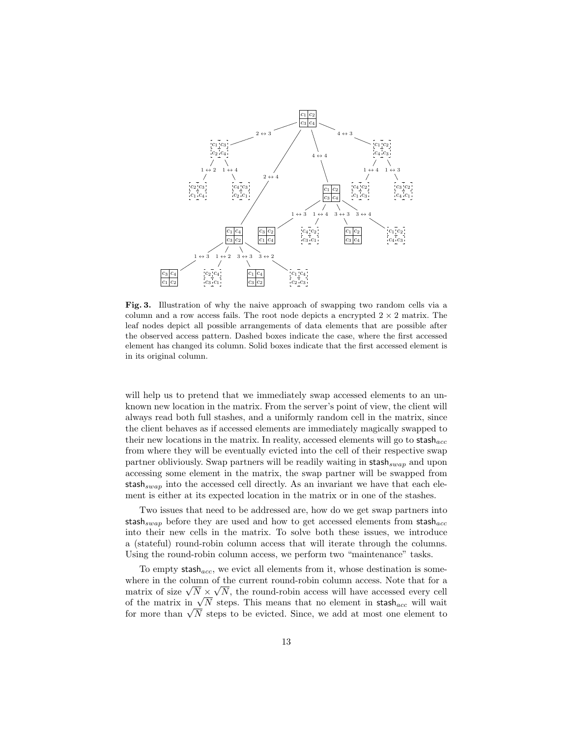

<span id="page-12-0"></span>Fig. 3. Illustration of why the naive approach of swapping two random cells via a column and a row access fails. The root node depicts a encrypted  $2 \times 2$  matrix. The leaf nodes depict all possible arrangements of data elements that are possible after the observed access pattern. Dashed boxes indicate the case, where the first accessed element has changed its column. Solid boxes indicate that the first accessed element is in its original column.

will help us to pretend that we immediately swap accessed elements to an unknown new location in the matrix. From the server's point of view, the client will always read both full stashes, and a uniformly random cell in the matrix, since the client behaves as if accessed elements are immediately magically swapped to their new locations in the matrix. In reality, accessed elements will go to  $\text{stash}_{acc}$ from where they will be eventually evicted into the cell of their respective swap partner obliviously. Swap partners will be readily waiting in  $\text{stash}_{\text{swap}}$  and upon accessing some element in the matrix, the swap partner will be swapped from stash<sub>swap</sub> into the accessed cell directly. As an invariant we have that each element is either at its expected location in the matrix or in one of the stashes.

Two issues that need to be addressed are, how do we get swap partners into stash<sub>swap</sub> before they are used and how to get accessed elements from stash<sub>acc</sub> into their new cells in the matrix. To solve both these issues, we introduce a (stateful) round-robin column access that will iterate through the columns. Using the round-robin column access, we perform two "maintenance" tasks.

To empty stash $_{acc}$ , we evict all elements from it, whose destination is somewhere in the column of the current round-robin column access. Note that for a where in the column of the current round-robin column access. Note that for a matrix of size  $\sqrt{N} \times \sqrt{N}$ , the round-robin access will have accessed every cell matrix of size  $\sqrt{N} \times \sqrt{N}$ , the round-robin access will have accessed every cell<br>of the matrix in  $\sqrt{N}$  steps. This means that no element in stash<sub>acc</sub> will wait or the matrix in  $\sqrt{N}$  steps. This means that no element in stash<sub>acc</sub> will walt<br>for more than  $\sqrt{N}$  steps to be evicted. Since, we add at most one element to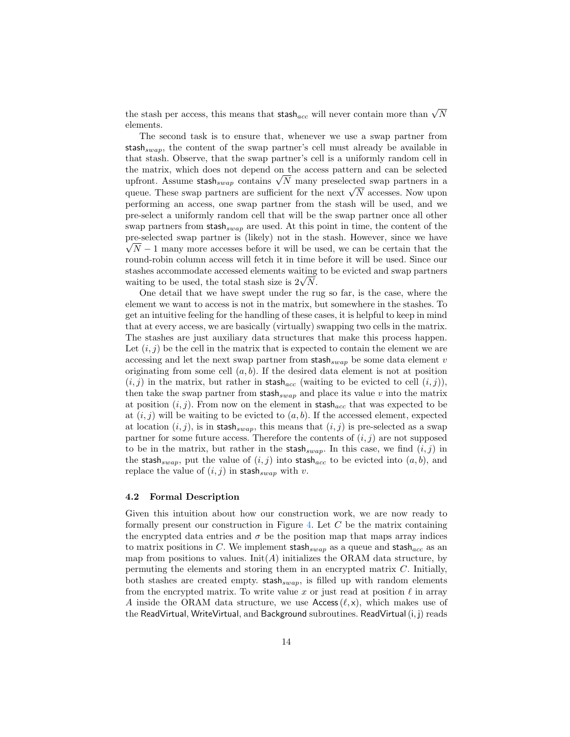the stash per access, this means that  $\mathsf{stash}_{acc}$  will never contain more than  $\sqrt{N}$ elements.

The second task is to ensure that, whenever we use a swap partner from stash<sub>swap</sub>, the content of the swap partner's cell must already be available in that stash. Observe, that the swap partner's cell is a uniformly random cell in the matrix, which does not depend on the access pattern and can be selected the matrix, which does not depend on the access pattern and can be selected upfront. Assume stash<sub>swap</sub> contains  $\sqrt{N}$  many preselected swap partners in a queue. These swap partners are sufficient for the next  $\sqrt{N}$  accesses. Now upon queue. These swap partners are sufficient for the next  $\sqrt{N}$  accesses. Now upon performing an access, one swap partner from the stash will be used, and we pre-select a uniformly random cell that will be the swap partner once all other swap partners from stash<sub>swap</sub> are used. At this point in time, the content of the pre-selected swap partner is (likely) not in the stash. However, since we have √  $\sqrt{N-1}$  many more accesses before it will be used, we can be certain that the round-robin column access will fetch it in time before it will be used. Since our stashes accommodate accessed elements waiting to be evicted and swap partners stasnes accommodate accessed elements waiting<br>waiting to be used, the total stash size is  $2\sqrt{N}$ .

One detail that we have swept under the rug so far, is the case, where the element we want to access is not in the matrix, but somewhere in the stashes. To get an intuitive feeling for the handling of these cases, it is helpful to keep in mind that at every access, we are basically (virtually) swapping two cells in the matrix. The stashes are just auxiliary data structures that make this process happen. Let  $(i, j)$  be the cell in the matrix that is expected to contain the element we are accessing and let the next swap partner from  $\text{stash}_{swap}$  be some data element v originating from some cell  $(a, b)$ . If the desired data element is not at position  $(i, j)$  in the matrix, but rather in stash<sub>acc</sub> (waiting to be evicted to cell  $(i, j)$ ), then take the swap partner from stash<sub>swap</sub> and place its value v into the matrix at position  $(i, j)$ . From now on the element in stash<sub>acc</sub> that was expected to be at  $(i, j)$  will be waiting to be evicted to  $(a, b)$ . If the accessed element, expected at location  $(i, j)$ , is in stash<sub>swap</sub>, this means that  $(i, j)$  is pre-selected as a swap partner for some future access. Therefore the contents of  $(i, j)$  are not supposed to be in the matrix, but rather in the stash<sub>swap</sub>. In this case, we find  $(i, j)$  in the stash<sub>swap</sub>, put the value of  $(i, j)$  into stash<sub>acc</sub> to be evicted into  $(a, b)$ , and replace the value of  $(i, j)$  in stash<sub>swap</sub> with v.

#### 4.2 Formal Description

Given this intuition about how our construction work, we are now ready to formally present our construction in Figure [4.](#page-14-0) Let  $C$  be the matrix containing the encrypted data entries and  $\sigma$  be the position map that maps array indices to matrix positions in C. We implement stash<sub>swap</sub> as a queue and stash<sub>acc</sub> as an map from positions to values.  $Init(A)$  initializes the ORAM data structure, by permuting the elements and storing them in an encrypted matrix C. Initially, both stashes are created empty.  $\text{stash}_{swap}$ , is filled up with random elements from the encrypted matrix. To write value x or just read at position  $\ell$  in array A inside the ORAM data structure, we use  $\text{Access}(\ell, x)$ , which makes use of the ReadVirtual, WriteVirtual, and Background subroutines. ReadVirtual (i, j) reads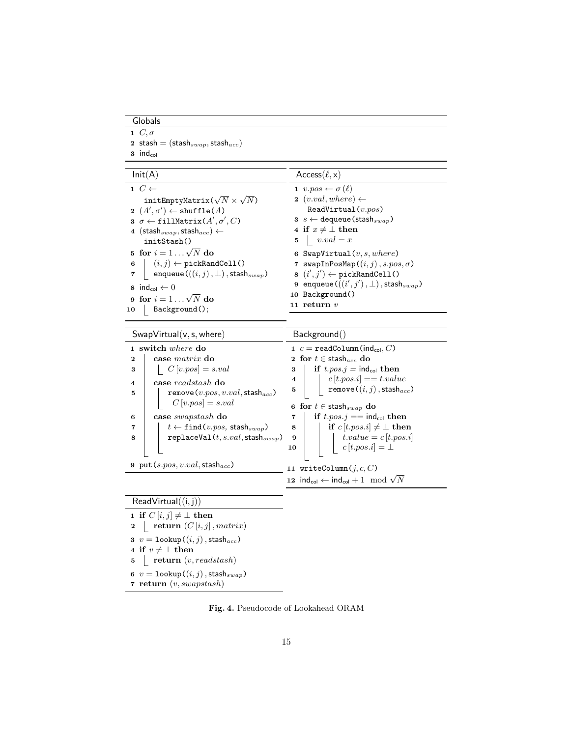Globals

1  $C, \sigma$ 2 stash =  $(\text{stash}_{swap}, \text{stash}_{acc})$  $3$  ind $_{col}$ 

## $Init(A)$  $\overline{C}$

| $1 \ C \leftarrow$                                                                                                                                            | 1 $v.pos \leftarrow \sigma(\ell)$                        |
|---------------------------------------------------------------------------------------------------------------------------------------------------------------|----------------------------------------------------------|
| initEmptyMatrix( $\sqrt{N} \times \sqrt{N}$ )                                                                                                                 | $2 \ (v.val, where) \leftarrow$                          |
| 2 $(A', \sigma') \leftarrow \text{shuffle}(A)$                                                                                                                | ReadVirtual(v.pos)                                       |
| 3 $\sigma \leftarrow \texttt{fillMatrix}(A', \sigma', C)$                                                                                                     | $3 \, s \leftarrow$ dequeue (stash <sub>swap</sub> )     |
| 4 (stash <sub>swap</sub> , stash <sub>acc</sub> ) $\leftarrow$                                                                                                | 4 if $x \neq \perp$ then                                 |
| initStash()                                                                                                                                                   | $5 \quad v.val = x$                                      |
| 5 for $i = 1 \dots \sqrt{N}$ do                                                                                                                               | 6 SwapVirtual $(v, s, where)$                            |
|                                                                                                                                                               | 7 swapInPosMap $((i, j), s. pos, \sigma)$                |
| $\begin{array}{c c} \mathbf{6} & (i,j) \leftarrow \texttt{pickRandCell()} \\ \mathbf{7} & \texttt{engine}(((i,j), \perp), \texttt{stash}_{swap}) \end{array}$ | 8 $(i', j') \leftarrow \text{pickRandCell}()$            |
| 8 ind <sub>col</sub> $\leftarrow$ 0                                                                                                                           | 9 enqueue $(((i', j'), \perp)$ , stash <sub>swap</sub> ) |
| 9 for $i = 1 \dots \sqrt{N}$ do                                                                                                                               | 10 Background()                                          |
| $10$   Background();                                                                                                                                          | 11 return $v$                                            |

 $Access(\ell, x)$ 

| SwapVirtual(v, s, where)                                                 | Background()                                                             |  |  |
|--------------------------------------------------------------------------|--------------------------------------------------------------------------|--|--|
| 1 switch where do                                                        | 1 $c = \text{readColumn}(\text{ind}_{\text{col}}, C)$                    |  |  |
| case <i>matrix</i> do<br>$\mathbf 2$                                     | 2 for $t \in$ stash <sub>acc</sub> do                                    |  |  |
| $C[v.pop] = s.val$<br>3                                                  | if $t_{.}pos.i = ind_{col}$ then<br>3                                    |  |  |
| case readstash do<br>$\overline{\mathbf{4}}$                             | $c[t.pos.i] == t.value$<br>$\overline{4}$                                |  |  |
| remove $(v.pos, v.val, \text{stash}_{acc})$<br>5                         | remove $((i, j)$ , stash $_{acc}$ )<br>5                                 |  |  |
| $C[v.pop] = s.val$                                                       | 6 for $t \in$ stash <sub>swap</sub> do                                   |  |  |
| case swapstash do<br>6                                                   | if $t_{.}pos.i = \text{ind}_{col}$ then<br>7                             |  |  |
| $t \leftarrow \texttt{find}(v.\textit{pos}, \texttt{stash}_{swan})$<br>7 | if $c[t.pos.i] \neq \bot$ then<br>8                                      |  |  |
| replaceVal $(t, s.val, \text{stash}_{swap})$<br>8                        | $t.value = c[t.pos.i]$<br>9                                              |  |  |
|                                                                          | $c[t.pos.i] = \bot$<br>10                                                |  |  |
|                                                                          |                                                                          |  |  |
| 9 put $(s. pos, v. val, stash_{acc})$                                    | 11 writeColumn $(i, c, C)$                                               |  |  |
|                                                                          | 12 ind <sub>col</sub> $\leftarrow$ ind <sub>col</sub> + 1 mod $\sqrt{N}$ |  |  |

 $ReadVirtual((i, j))$ 1 if  $C\left[i,j\right]\neq\mathbf{\bot}$  then 2 | return  $(C[i, j]$ ,  $matrix)$ 3  $v =$  lookup $((i, j)$ , stash $_{acc}$ ) 4 if  $v \neq \perp$  then  $\mathbf{5} \quad \boxed{\quad \mathbf{return} \ (v, reads \mathit{task})}$ 6  $v = \text{lookup}((i, j), \text{stash}_{swap})$ 7 return (v, swapstash)

<span id="page-14-0"></span>Fig. 4. Pseudocode of Lookahead ORAM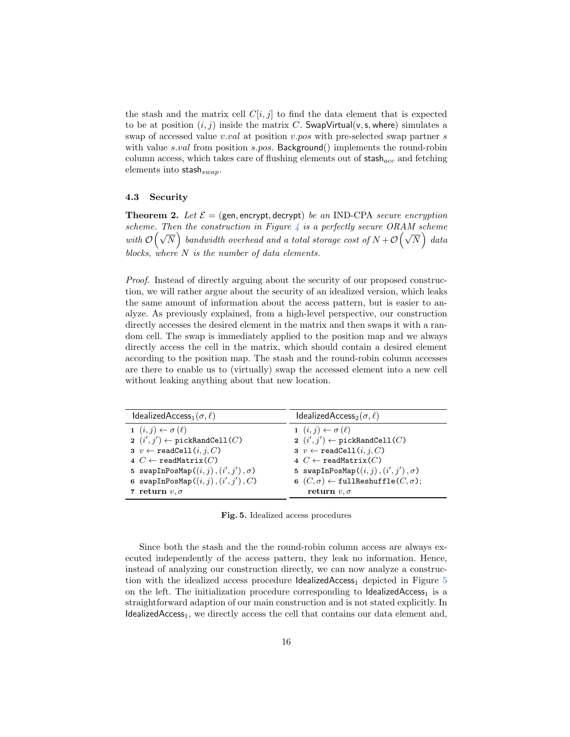the stash and the matrix cell  $C[i, j]$  to find the data element that is expected to be at position  $(i, j)$  inside the matrix C. SwapVirtual(v, s, where) simulates a swap of accessed value v.val at position v.pos with pre-selected swap partner s with value s.val from position s.pos. Background() implements the round-robin column access, which takes care of flushing elements out of  $\text{stash}_{acc}$  and fetching elements into  $\mathsf{stash}_{\mathit{swap}}$ .

#### 4.3 Security

**Theorem 2.** Let  $\mathcal{E} = (\text{gen}, \text{encrypt}, \text{decrypt})$  be an IND-CPA secure encryption scheme. Then the construction in Figure  $4$  is a perfectly secure ORAM scheme with  $\mathcal{O}(\sqrt{N})$  bandwidth overhead and a total storage cost of  $N + \mathcal{O}(\sqrt{N})$  data blocks, where  $N$  is the number of data elements.

Proof. Instead of directly arguing about the security of our proposed construction, we will rather argue about the security of an idealized version, which leaks the same amount of information about the access pattern, but is easier to analyze. As previously explained, from a high-level perspective, our construction directly accesses the desired element in the matrix and then swaps it with a random cell. The swap is immediately applied to the position map and we always directly access the cell in the matrix, which should contain a desired element according to the position map. The stash and the round-robin column accesses are there to enable us to (virtually) swap the accessed element into a new cell without leaking anything about that new location.

| IdealizedAccess <sub>1</sub> $(\sigma, \ell)$                                                                                                                                                                                                                | IdealizedAccess <sub>2</sub> $(\sigma, \ell)$                                                                                                                                                                                                                                           |
|--------------------------------------------------------------------------------------------------------------------------------------------------------------------------------------------------------------------------------------------------------------|-----------------------------------------------------------------------------------------------------------------------------------------------------------------------------------------------------------------------------------------------------------------------------------------|
| $1(i, j) \leftarrow \sigma(\ell)$<br>2 $(i', j') \leftarrow \text{pickRandCell}(C)$<br>3 $v \leftarrow \text{readCell}(i, j, C)$<br>4 $C \leftarrow \text{readMatrix}(C)$<br>5 swapInPosMap $((i,j), (i',j'), \sigma)$<br>6 swapInPosMap $((i,j),(i',j'),C)$ | $1(i, j) \leftarrow \sigma(\ell)$<br>2 $(i', j') \leftarrow \text{pickRandCell}(C)$<br>3 $v \leftarrow \text{readCell}(i, j, C)$<br>4 $C \leftarrow \text{readMatrix}(C)$<br>5 swapInPosMap $((i, j), (i', j'), \sigma)$<br>6 $(C, \sigma) \leftarrow \text{fullReshuffle}(C, \sigma);$ |
| 7 return $v, \sigma$                                                                                                                                                                                                                                         | return $v, \sigma$                                                                                                                                                                                                                                                                      |

<span id="page-15-0"></span>Fig. 5. Idealized access procedures

Since both the stash and the the round-robin column access are always executed independently of the access pattern, they leak no information. Hence, instead of analyzing our construction directly, we can now analyze a construction with the idealized access procedure  $\delta$  dealized Access<sub>1</sub> depicted in Figure [5](#page-15-0) on the left. The initialization procedure corresponding to **IdealizedAccess**<sub>1</sub> is a straightforward adaption of our main construction and is not stated explicitly. In  $I$ dealized $A$ ccess<sub>1</sub>, we directly access the cell that contains our data element and,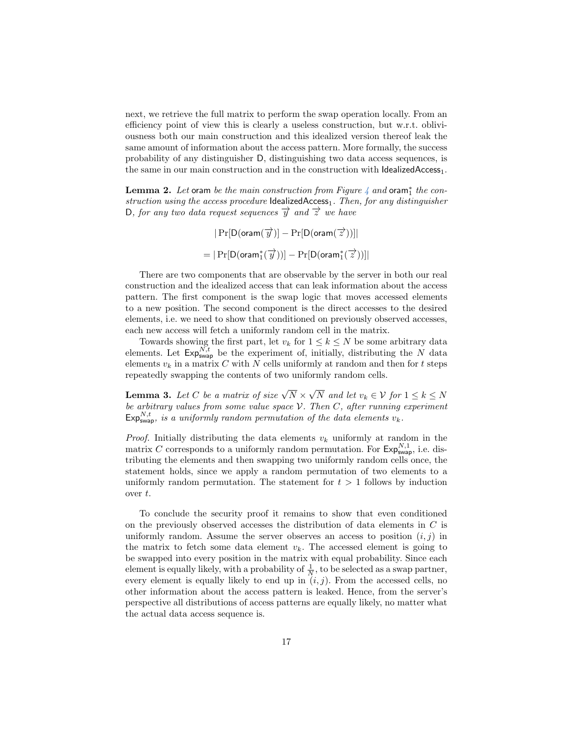next, we retrieve the full matrix to perform the swap operation locally. From an efficiency point of view this is clearly a useless construction, but w.r.t. obliviousness both our main construction and this idealized version thereof leak the same amount of information about the access pattern. More formally, the success probability of any distinguisher D, distinguishing two data access sequences, is the same in our main construction and in the construction with  $I$ dealizedAccess<sub>1</sub>.

Lemma 2. Let oram be the main construction from Figure  $\frac{1}{4}$  $\frac{1}{4}$  $\frac{1}{4}$  and oram $_1^*$  the construction using the access procedure  $\blacksquare$   $\blacksquare$   $\blacksquare$   $\blacksquare$   $\blacksquare$   $\blacksquare$   $\blacksquare$   $\blacksquare$   $\blacksquare$   $\blacksquare$   $\blacksquare$   $\blacksquare$   $\blacksquare$   $\blacksquare$   $\blacksquare$   $\blacksquare$   $\blacksquare$   $\blacksquare$   $\blacksquare$   $\blacksquare$   $\blacksquare$   $\blacksquare$   $\blacksquare$   $\blacksquare$   $\blacksquare$   $\blacksquare$   $\$ D, for any two data request sequences  $\overrightarrow{y}$  and  $\overrightarrow{z}$  we have

$$
|\Pr[D(\text{oram}(\overrightarrow{y})] - \Pr[D(\text{oram}(\overrightarrow{z}))]|
$$
  
= |\Pr[D(\text{oram}^\*\_1(\overrightarrow{y}))] - \Pr[D(\text{oram}^\*\_1(\overrightarrow{z}))]|

There are two components that are observable by the server in both our real construction and the idealized access that can leak information about the access pattern. The first component is the swap logic that moves accessed elements to a new position. The second component is the direct accesses to the desired elements, i.e. we need to show that conditioned on previously observed accesses, each new access will fetch a uniformly random cell in the matrix.

Towards showing the first part, let  $v_k$  for  $1 \leq k \leq N$  be some arbitrary data elements. Let  $Exp_{swap}^{N,t}$  be the experiment of, initially, distributing the N data elements  $v_k$  in a matrix C with N cells uniformly at random and then for t steps repeatedly swapping the contents of two uniformly random cells.

**Lemma 3.** Let C be a matrix of size  $\sqrt{N}$   $\times$ √ N and let  $v_k \in V$  for  $1 \leq k \leq N$ be arbitrary values from some value space  $V$ . Then  $C$ , after running experiment  $Exp_{swap}^{N,t}$ , is a uniformly random permutation of the data elements  $v_k$ .

*Proof.* Initially distributing the data elements  $v_k$  uniformly at random in the matrix C corresponds to a uniformly random permutation. For  $Exp_{swap}^{N,1}$ , i.e. distributing the elements and then swapping two uniformly random cells once, the statement holds, since we apply a random permutation of two elements to a uniformly random permutation. The statement for  $t > 1$  follows by induction over t.

To conclude the security proof it remains to show that even conditioned on the previously observed accesses the distribution of data elements in C is uniformly random. Assume the server observes an access to position  $(i, j)$  in the matrix to fetch some data element  $v_k$ . The accessed element is going to be swapped into every position in the matrix with equal probability. Since each element is equally likely, with a probability of  $\frac{1}{N}$ , to be selected as a swap partner, every element is equally likely to end up in  $(i, j)$ . From the accessed cells, no other information about the access pattern is leaked. Hence, from the server's perspective all distributions of access patterns are equally likely, no matter what the actual data access sequence is.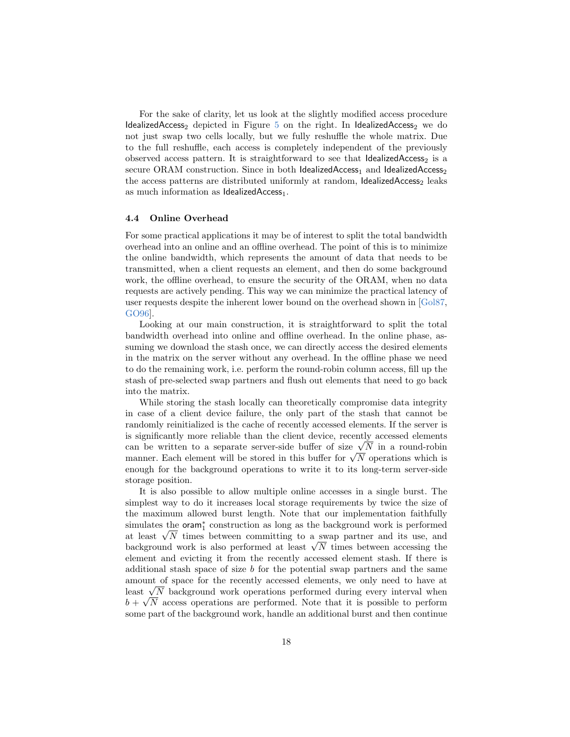For the sake of clarity, let us look at the slightly modified access procedure  $I$ dealizedAccess<sub>2</sub> depicted in Figure [5](#page-15-0) on the right. In IdealizedAccess<sub>2</sub> we do not just swap two cells locally, but we fully reshuffle the whole matrix. Due to the full reshuffle, each access is completely independent of the previously observed access pattern. It is straightforward to see that IdealizedAccess<sub>2</sub> is a secure ORAM construction. Since in both IdealizedAccess<sub>1</sub> and IdealizedAccess<sub>2</sub> the access patterns are distributed uniformly at random, IdealizedAccess<sub>2</sub> leaks as much information as IdealizedAccess<sub>1</sub>.

#### 4.4 Online Overhead

For some practical applications it may be of interest to split the total bandwidth overhead into an online and an offline overhead. The point of this is to minimize the online bandwidth, which represents the amount of data that needs to be transmitted, when a client requests an element, and then do some background work, the offline overhead, to ensure the security of the ORAM, when no data requests are actively pending. This way we can minimize the practical latency of user requests despite the inherent lower bound on the overhead shown in [\[Gol87,](#page-24-1) [GO96\]](#page-24-2).

Looking at our main construction, it is straightforward to split the total bandwidth overhead into online and offline overhead. In the online phase, assuming we download the stash once, we can directly access the desired elements in the matrix on the server without any overhead. In the offline phase we need to do the remaining work, i.e. perform the round-robin column access, fill up the stash of pre-selected swap partners and flush out elements that need to go back into the matrix.

While storing the stash locally can theoretically compromise data integrity in case of a client device failure, the only part of the stash that cannot be randomly reinitialized is the cache of recently accessed elements. If the server is is significantly more reliable than the client device, recently accessed elements is significantly more reliable than the client device, recently accessed elements<br>can be written to a separate server-side buffer of size  $\sqrt{N}$  in a round-robin can be written to a separate server-side buffer of size  $\sqrt{N}$  in a round-robin manner. Each element will be stored in this buffer for  $\sqrt{N}$  operations which is enough for the background operations to write it to its long-term server-side storage position.

It is also possible to allow multiple online accesses in a single burst. The simplest way to do it increases local storage requirements by twice the size of the maximum allowed burst length. Note that our implementation faithfully simulates the oram<sup>\*</sup><sub>1</sub> construction as long as the background work is performed simulates the oram<sub>i</sub> construction as long as the background work is performed at least  $\sqrt{N}$  times between committing to a swap partner and its use, and at least  $\sqrt{N}$  times between committing to a swap partner and its use, and background work is also performed at least  $\sqrt{N}$  times between accessing the element and evicting it from the recently accessed element stash. If there is additional stash space of size b for the potential swap partners and the same amount of space for the recently accessed elements, we only need to have at amount of space for the recently accessed elements, we only need to have at least  $\sqrt{N}$  background work operations performed during every interval when  $b + \sqrt{N}$  access operations are performed. Note that it is possible to perform some part of the background work, handle an additional burst and then continue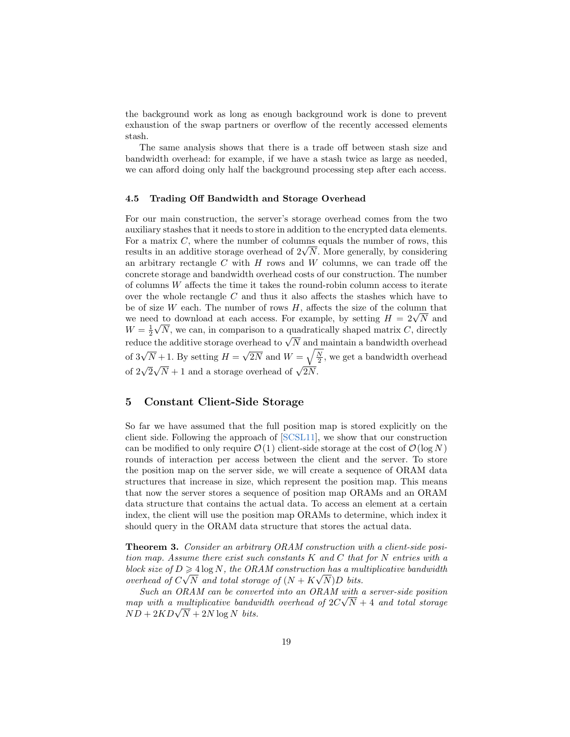the background work as long as enough background work is done to prevent exhaustion of the swap partners or overflow of the recently accessed elements stash.

The same analysis shows that there is a trade off between stash size and bandwidth overhead: for example, if we have a stash twice as large as needed, we can afford doing only half the background processing step after each access.

#### <span id="page-18-1"></span>4.5 Trading Off Bandwidth and Storage Overhead

For our main construction, the server's storage overhead comes from the two auxiliary stashes that it needs to store in addition to the encrypted data elements. For a matrix  $C$ , where the number of columns equals the number of rows, this For a matrix  $C$ , where the number of columns equals the number of rows, this results in an additive storage overhead of  $2\sqrt{N}$ . More generally, by considering an arbitrary rectangle  $C$  with  $H$  rows and  $W$  columns, we can trade off the concrete storage and bandwidth overhead costs of our construction. The number of columns W affects the time it takes the round-robin column access to iterate over the whole rectangle  $C$  and thus it also affects the stashes which have to be of size  $W$  each. The number of rows  $H$ , affects the size of the column that be of size *W* each. The number of rows *H*, are cost the size of the column that we need to download at each access. For example, by setting  $H = 2\sqrt{N}$  and  $W = \frac{1}{2}\sqrt{N}$ , we can, in comparison to a quadratically shaped matrix C, directly  $W = \frac{1}{2}V$ . We can, in comparison to a quadratically shaped matrix  $C$ , differently reduce the additive storage overhead to  $\sqrt{N}$  and maintain a bandwidth overhead of  $3\sqrt{N}+1$ . By setting  $H =$ √  $\overline{N}+1$ . By setting  $H = \sqrt{2N}$  and  $W = \sqrt{\frac{N}{2}}$ , we get a bandwidth overhead of  $2\sqrt{2}\sqrt{N}+1$  and a storage overhead of  $\sqrt{2N}$ .

## <span id="page-18-0"></span>5 Constant Client-Side Storage

So far we have assumed that the full position map is stored explicitly on the client side. Following the approach of [\[SCSL11\]](#page-24-6), we show that our construction can be modified to only require  $\mathcal{O}(1)$  client-side storage at the cost of  $\mathcal{O}(\log N)$ rounds of interaction per access between the client and the server. To store the position map on the server side, we will create a sequence of ORAM data structures that increase in size, which represent the position map. This means that now the server stores a sequence of position map ORAMs and an ORAM data structure that contains the actual data. To access an element at a certain index, the client will use the position map ORAMs to determine, which index it should query in the ORAM data structure that stores the actual data.

Theorem 3. Consider an arbitrary ORAM construction with a client-side position map. Assume there exist such constants  $K$  and  $C$  that for  $N$  entries with a block size of  $D \geq 4 \log N$ , the ORAM construction has a multiplicative bandwidth overhead of  $C\sqrt{N}$  and total storage of  $(N+K\sqrt{N})D$  bits.

Such an ORAM can be converted into an ORAM with a server-side position map with a multiplicative bandwidth overhead of  $2C\sqrt{N}+4$  and total storage map with a multiplicative bandw<br> $ND + 2KD\sqrt{N} + 2N \log N$  bits.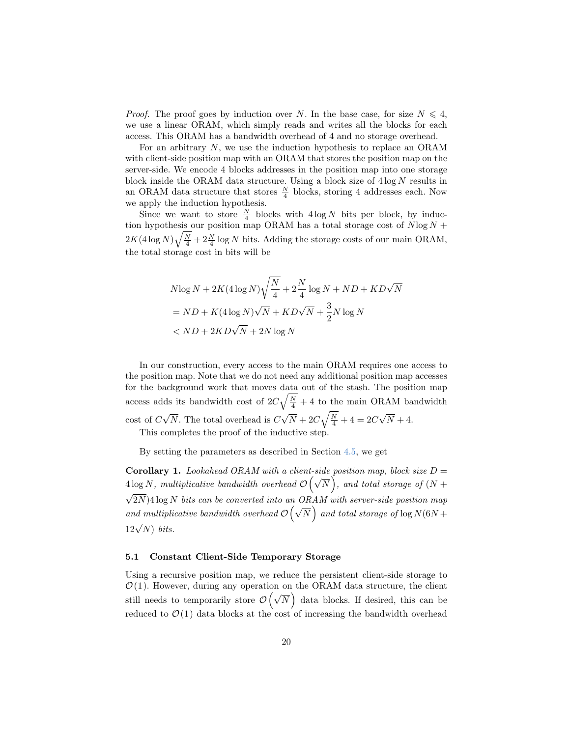*Proof.* The proof goes by induction over N. In the base case, for size  $N \leq 4$ , we use a linear ORAM, which simply reads and writes all the blocks for each access. This ORAM has a bandwidth overhead of 4 and no storage overhead.

For an arbitrary N, we use the induction hypothesis to replace an ORAM with client-side position map with an ORAM that stores the position map on the server-side. We encode 4 blocks addresses in the position map into one storage block inside the ORAM data structure. Using a block size of  $4 \log N$  results in an ORAM data structure that stores  $\frac{N}{4}$  blocks, storing 4 addresses each. Now we apply the induction hypothesis.

Since we want to store  $\frac{N}{4}$  blocks with  $4 \log N$  bits per block, by induction hypothesis our position map ORAM has a total storage cost of  $N \log N +$  $2K(4\log N)\sqrt{\frac{N}{4}}+2\frac{N}{4}\log N$  bits. Adding the storage costs of our main ORAM, the total storage cost in bits will be

$$
N \log N + 2K(4 \log N) \sqrt{\frac{N}{4}} + 2\frac{N}{4} \log N + ND + KD\sqrt{N}
$$
  
=  $ND + K(4 \log N)\sqrt{N} + KD\sqrt{N} + \frac{3}{2}N \log N$   
<  $ND + 2KD\sqrt{N} + 2N \log N$ 

In our construction, every access to the main ORAM requires one access to the position map. Note that we do not need any additional position map accesses for the background work that moves data out of the stash. The position map access adds its bandwidth cost of  $2C\sqrt{\frac{N}{4}}+4$  to the main ORAM bandwidth cost of C √ N. The total overhead is C  $^{\mathsf{v}}$  $\overline{N} + 2C\sqrt{\frac{N}{4}} + 4 = 2C$ √  $N + 4$ .

This completes the proof of the inductive step.

By setting the parameters as described in Section [4.5,](#page-18-1) we get

**Corollary 1.** Lookahead ORAM with a client-side position map, block size  $D =$  $\frac{1}{4}$  log N, multiplicative bandwidth overhead  $\mathcal{O}(\sqrt{N})$ , and total storage of  $(N + 1)$ √  $2N)4\log N$  bits can be converted into an ORAM with server-side position map and multiplicative bandwidth overhead  $\mathcal{O}(\sqrt{N})$  and total storage of log  $N(6N +$  $12\sqrt{N}$ ) bits.

#### <span id="page-19-0"></span>5.1 Constant Client-Side Temporary Storage

Using a recursive position map, we reduce the persistent client-side storage to  $\mathcal{O}(1)$ . However, during any operation on the ORAM data structure, the client still needs to temporarily store  $\mathcal{O}(\sqrt{N})$  data blocks. If desired, this can be reduced to  $\mathcal{O}(1)$  data blocks at the cost of increasing the bandwidth overhead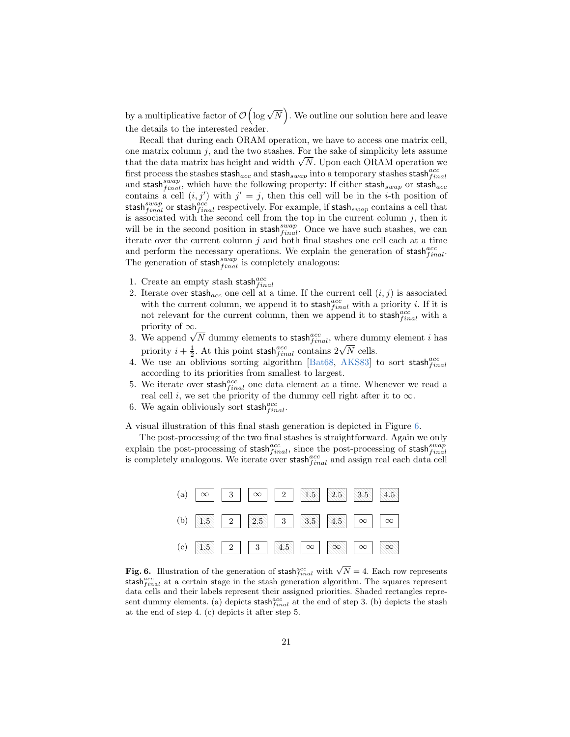by a multiplicative factor of  $\mathcal{O}(\log \sqrt{N})$ . We outline our solution here and leave the details to the interested reader.

Recall that during each ORAM operation, we have to access one matrix cell, one matrix column  $i$ , and the two stashes. For the sake of simplicity lets assume one matrix column *j*, and the two stashes. For the sake of simplicity lets assume that the data matrix has height and width  $\sqrt{N}$ . Upon each ORAM operation we first process the stashes  $\mathsf{stash}_{acc}$  and  $\mathsf{stash}_{swap}$  into a temporary stashes  $\mathsf{stash}_{final}^{acc}$ and stash $\frac{swap}{final}$ , which have the following property: If either stash $\frac{swap}{swap}$  or stash $\frac{acc}{break}$ contains a cell  $(i, j')$  with  $j' = j$ , then this cell will be in the *i*-th position of stash $s^{swap}_{final}$  or stash $s^{acc}_{final}$  respectively. For example, if stash $_{swap}$  contains a cell that is associated with the second cell from the top in the current column  $j$ , then it will be in the second position in stash $j_{final}^{swap}$ . Once we have such stashes, we can iterate over the current column  $j$  and both final stashes one cell each at a time and perform the necessary operations. We explain the generation of stash $f_{final}^{acc}$ . The generation of stash  $s_{final}^{swap}$  is completely analogous:

- 1. Create an empty stash stash $_{final}^{acc}$
- 2. Iterate over stash<sub>acc</sub> one cell at a time. If the current cell  $(i, j)$  is associated with the current column, we append it to stash $f_{final}^{acc}$  with a priority i. If it is not relevant for the current column, then we append it to stash $_{final}^{acc}$  with a priority of  $\infty$ .
- priority or  $\infty$ .<br>3. We append  $\sqrt{N}$  dummy elements to stash $_{final}^{acc}$ , where dummy element *i* has we append  $\sqrt{N}$  duminy elements to stash  $f_{final}$ , where dum<br>priority  $i + \frac{1}{2}$ . At this point stash $f_{final}^{acc}$  contains  $2\sqrt{N}$  cells.
- 4. We use an oblivious sorting algorithm [\[Bat68,](#page-23-5) [AKS83\]](#page-23-9) to sort stash $_{final}^{acc}$ according to its priorities from smallest to largest.
- 5. We iterate over stash $_{final}^{acc}$  one data element at a time. Whenever we read a real cell *i*, we set the priority of the dummy cell right after it to  $\infty$ .
- 6. We again obliviously sort stash $_{final}^{acc}$ .

A visual illustration of this final stash generation is depicted in Figure [6.](#page-20-0)

The post-processing of the two final stashes is straightforward. Again we only explain the post-processing of stash $f_{final}^{acc}$ , since the post-processing of stash $f_{final}^{swap}$ is completely analogous. We iterate over stash $_{final}^{acc}$  and assign real each data cell



<span id="page-20-0"></span>**Fig. 6.** Illustration of the generation of stash ${}_{final}^{acc}$  with  $\sqrt{N} = 4$ . Each row represents stash $f_{final}^{acc}$  at a certain stage in the stash generation algorithm. The squares represent data cells and their labels represent their assigned priorities. Shaded rectangles represent dummy elements. (a) depicts stash $_{final}^{acc}$  at the end of step 3. (b) depicts the stash at the end of step 4. (c) depicts it after step 5.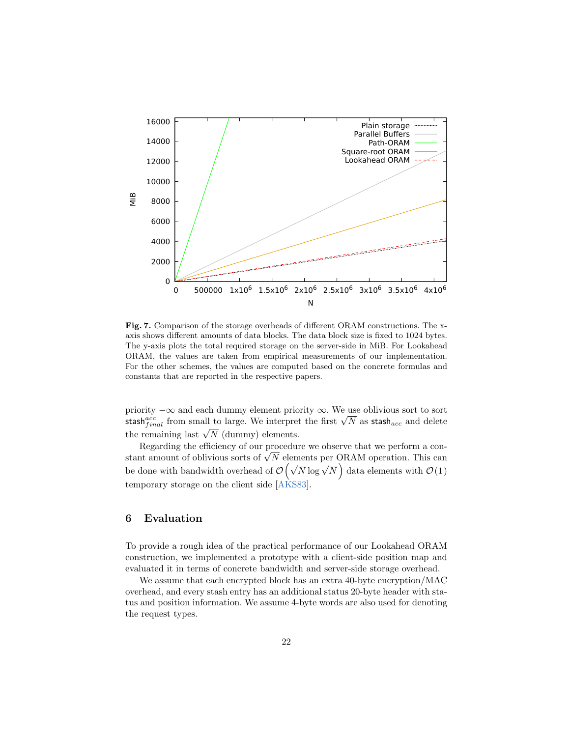

<span id="page-21-1"></span>Fig. 7. Comparison of the storage overheads of different ORAM constructions. The xaxis shows different amounts of data blocks. The data block size is fixed to 1024 bytes. The y-axis plots the total required storage on the server-side in MiB. For Lookahead ORAM, the values are taken from empirical measurements of our implementation. For the other schemes, the values are computed based on the concrete formulas and constants that are reported in the respective papers.

priority  $-\infty$  and each dummy element priority  $\infty.$  We use oblivious sort to sort priority  $-\infty$  and each dummy element priority  $\infty$ . We use oblivious sort to sort stash $_{final}^{acc}$  from small to large. We interpret the first  $\sqrt{N}$  as stash $_{acc}$  and delete stast  $f_{final}$  from small to large. We interpret<br>the remaining last  $\sqrt{N}$  (dummy) elements.

Regarding the efficiency of our procedure we observe that we perform a con-Example 1 at the employ of our procedure we observe that we perform a constant amount of oblivious sorts of  $\sqrt{N}$  elements per ORAM operation. This can be done with bandwidth overhead of  $\mathcal{O}(\sqrt{N} \log \sqrt{N})$  data elements with  $\mathcal{O}(1)$ temporary storage on the client side [\[AKS83\]](#page-23-9).

## <span id="page-21-0"></span>6 Evaluation

To provide a rough idea of the practical performance of our Lookahead ORAM construction, we implemented a prototype with a client-side position map and evaluated it in terms of concrete bandwidth and server-side storage overhead.

We assume that each encrypted block has an extra 40-byte encryption/MAC overhead, and every stash entry has an additional status 20-byte header with status and position information. We assume 4-byte words are also used for denoting the request types.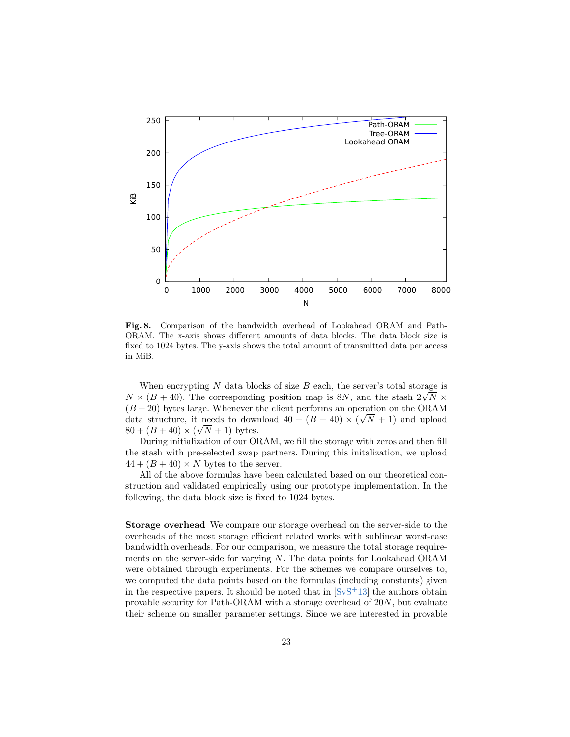

<span id="page-22-0"></span>Fig. 8. Comparison of the bandwidth overhead of Lookahead ORAM and Path-ORAM. The x-axis shows different amounts of data blocks. The data block size is fixed to 1024 bytes. The y-axis shows the total amount of transmitted data per access in MiB.

When encrypting N data blocks of size  $B$  each, the server's total storage is When encrypting N data blocks of size B each, the server's total storage is  $N \times (B + 40)$ . The corresponding position map is 8N, and the stash  $2\sqrt{N} \times$  $(B+20)$  bytes large. Whenever the client performs an operation on the ORAM data structure, it needs to download  $40 + (B + 40) \times (\sqrt{N} + 1)$  and upload  $80 + (B + 40) \times (\sqrt{N} + 1)$  bytes.

During initialization of our ORAM, we fill the storage with zeros and then fill the stash with pre-selected swap partners. During this initalization, we upload  $44 + (B + 40) \times N$  bytes to the server.

All of the above formulas have been calculated based on our theoretical construction and validated empirically using our prototype implementation. In the following, the data block size is fixed to 1024 bytes.

Storage overhead We compare our storage overhead on the server-side to the overheads of the most storage efficient related works with sublinear worst-case bandwidth overheads. For our comparison, we measure the total storage requirements on the server-side for varying N. The data points for Lookahead ORAM were obtained through experiments. For the schemes we compare ourselves to, we computed the data points based on the formulas (including constants) given in the respective papers. It should be noted that in  $[SvS^+13]$  $[SvS^+13]$  the authors obtain provable security for Path-ORAM with a storage overhead of 20N, but evaluate their scheme on smaller parameter settings. Since we are interested in provable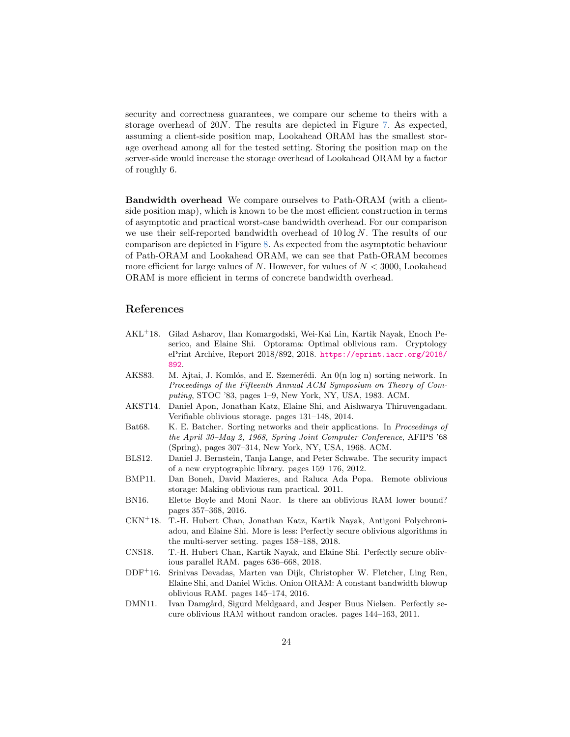security and correctness guarantees, we compare our scheme to theirs with a storage overhead of 20N. The results are depicted in Figure [7.](#page-21-1) As expected, assuming a client-side position map, Lookahead ORAM has the smallest storage overhead among all for the tested setting. Storing the position map on the server-side would increase the storage overhead of Lookahead ORAM by a factor of roughly 6.

Bandwidth overhead We compare ourselves to Path-ORAM (with a clientside position map), which is known to be the most efficient construction in terms of asymptotic and practical worst-case bandwidth overhead. For our comparison we use their self-reported bandwidth overhead of  $10 \log N$ . The results of our comparison are depicted in Figure [8.](#page-22-0) As expected from the asymptotic behaviour of Path-ORAM and Lookahead ORAM, we can see that Path-ORAM becomes more efficient for large values of N. However, for values of  $N < 3000$ , Lookahead ORAM is more efficient in terms of concrete bandwidth overhead.

## References

- <span id="page-23-3"></span>AKL<sup>+</sup>18. Gilad Asharov, Ilan Komargodski, Wei-Kai Lin, Kartik Nayak, Enoch Peserico, and Elaine Shi. Optorama: Optimal oblivious ram. Cryptology ePrint Archive, Report 2018/892, 2018. [https://eprint.iacr.org/2018/](https://eprint.iacr.org/2018/892) [892](https://eprint.iacr.org/2018/892).
- <span id="page-23-9"></span>AKS83. M. Ajtai, J. Komlós, and E. Szemerédi. An  $0(n \log n)$  sorting network. In Proceedings of the Fifteenth Annual ACM Symposium on Theory of Computing, STOC '83, pages 1–9, New York, NY, USA, 1983. ACM.
- <span id="page-23-7"></span>AKST14. Daniel Apon, Jonathan Katz, Elaine Shi, and Aishwarya Thiruvengadam. Verifiable oblivious storage. pages 131–148, 2014.
- <span id="page-23-5"></span>Bat68. K. E. Batcher. Sorting networks and their applications. In Proceedings of the April 30–May 2, 1968, Spring Joint Computer Conference, AFIPS '68 (Spring), pages 307–314, New York, NY, USA, 1968. ACM.
- BLS12. Daniel J. Bernstein, Tanja Lange, and Peter Schwabe. The security impact of a new cryptographic library. pages 159–176, 2012.
- <span id="page-23-6"></span>BMP11. Dan Boneh, David Mazieres, and Raluca Ada Popa. Remote oblivious storage: Making oblivious ram practical. 2011.
- <span id="page-23-0"></span>BN16. Elette Boyle and Moni Naor. Is there an oblivious RAM lower bound? pages 357–368, 2016.
- <span id="page-23-4"></span>CKN<sup>+</sup>18. T.-H. Hubert Chan, Jonathan Katz, Kartik Nayak, Antigoni Polychroniadou, and Elaine Shi. More is less: Perfectly secure oblivious algorithms in the multi-server setting. pages 158–188, 2018.
- <span id="page-23-2"></span>CNS18. T.-H. Hubert Chan, Kartik Nayak, and Elaine Shi. Perfectly secure oblivious parallel RAM. pages 636–668, 2018.
- <span id="page-23-8"></span>DDF<sup>+</sup>16. Srinivas Devadas, Marten van Dijk, Christopher W. Fletcher, Ling Ren, Elaine Shi, and Daniel Wichs. Onion ORAM: A constant bandwidth blowup oblivious RAM. pages 145–174, 2016.
- <span id="page-23-1"></span>DMN11. Ivan Damgård, Sigurd Meldgaard, and Jesper Buus Nielsen. Perfectly secure oblivious RAM without random oracles. pages 144–163, 2011.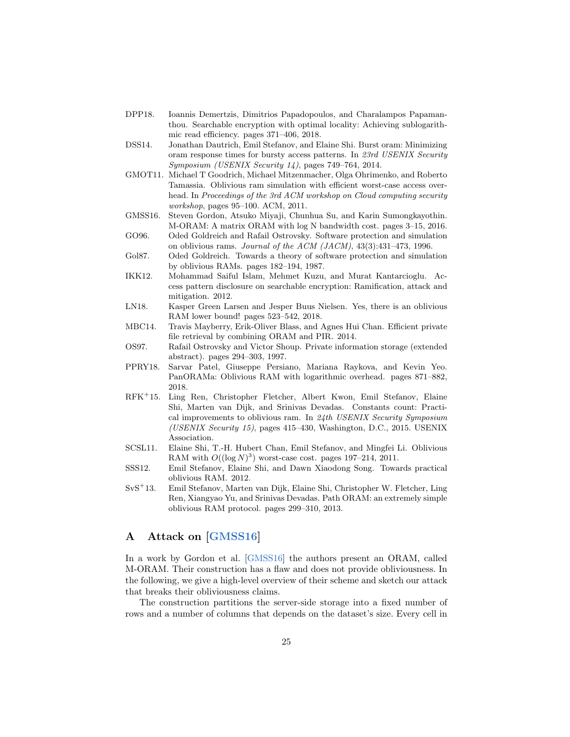- <span id="page-24-15"></span>DPP18. Ioannis Demertzis, Dimitrios Papadopoulos, and Charalampos Papamanthou. Searchable encryption with optimal locality: Achieving sublogarithmic read efficiency. pages 371–406, 2018.
- <span id="page-24-10"></span>DSS14. Jonathan Dautrich, Emil Stefanov, and Elaine Shi. Burst oram: Minimizing oram response times for bursty access patterns. In 23rd USENIX Security Symposium (USENIX Security 14), pages 749–764, 2014.
- <span id="page-24-5"></span>GMOT11. Michael T Goodrich, Michael Mitzenmacher, Olga Ohrimenko, and Roberto Tamassia. Oblivious ram simulation with efficient worst-case access overhead. In Proceedings of the 3rd ACM workshop on Cloud computing security workshop, pages 95–100. ACM, 2011.
- <span id="page-24-12"></span>GMSS16. Steven Gordon, Atsuko Miyaji, Chunhua Su, and Karin Sumongkayothin. M-ORAM: A matrix ORAM with log N bandwidth cost. pages 3–15, 2016.
- <span id="page-24-2"></span>GO96. Oded Goldreich and Rafail Ostrovsky. Software protection and simulation on oblivious rams. Journal of the ACM (JACM), 43(3):431–473, 1996.
- <span id="page-24-1"></span>Gol87. Oded Goldreich. Towards a theory of software protection and simulation by oblivious RAMs. pages 182–194, 1987.
- <span id="page-24-0"></span>IKK12. Mohammad Saiful Islam, Mehmet Kuzu, and Murat Kantarcioglu. Access pattern disclosure on searchable encryption: Ramification, attack and mitigation. 2012.
- <span id="page-24-3"></span>LN18. Kasper Green Larsen and Jesper Buus Nielsen. Yes, there is an oblivious RAM lower bound! pages 523–542, 2018.
- <span id="page-24-14"></span>MBC14. Travis Mayberry, Erik-Oliver Blass, and Agnes Hui Chan. Efficient private file retrieval by combining ORAM and PIR. 2014.
- <span id="page-24-4"></span>OS97. Rafail Ostrovsky and Victor Shoup. Private information storage (extended abstract). pages 294–303, 1997.
- <span id="page-24-9"></span>PPRY18. Sarvar Patel, Giuseppe Persiano, Mariana Raykova, and Kevin Yeo. PanORAMa: Oblivious RAM with logarithmic overhead. pages 871–882, 2018.
- <span id="page-24-11"></span>RFK<sup>+</sup>15. Ling Ren, Christopher Fletcher, Albert Kwon, Emil Stefanov, Elaine Shi, Marten van Dijk, and Srinivas Devadas. Constants count: Practical improvements to oblivious ram. In  $24$ th USENIX Security Symposium (USENIX Security 15), pages 415–430, Washington, D.C., 2015. USENIX Association.
- <span id="page-24-6"></span>SCSL11. Elaine Shi, T.-H. Hubert Chan, Emil Stefanov, and Mingfei Li. Oblivious RAM with  $O((\log N)^3)$  worst-case cost. pages 197–214, 2011.
- <span id="page-24-7"></span>SSS12. Emil Stefanov, Elaine Shi, and Dawn Xiaodong Song. Towards practical oblivious RAM. 2012.
- <span id="page-24-8"></span>SvS<sup>+</sup>13. Emil Stefanov, Marten van Dijk, Elaine Shi, Christopher W. Fletcher, Ling Ren, Xiangyao Yu, and Srinivas Devadas. Path ORAM: an extremely simple oblivious RAM protocol. pages 299–310, 2013.

## <span id="page-24-13"></span>A Attack on [\[GMSS16\]](#page-24-12)

In a work by Gordon et al. [\[GMSS16\]](#page-24-12) the authors present an ORAM, called M-ORAM. Their construction has a flaw and does not provide obliviousness. In the following, we give a high-level overview of their scheme and sketch our attack that breaks their obliviousness claims.

The construction partitions the server-side storage into a fixed number of rows and a number of columns that depends on the dataset's size. Every cell in